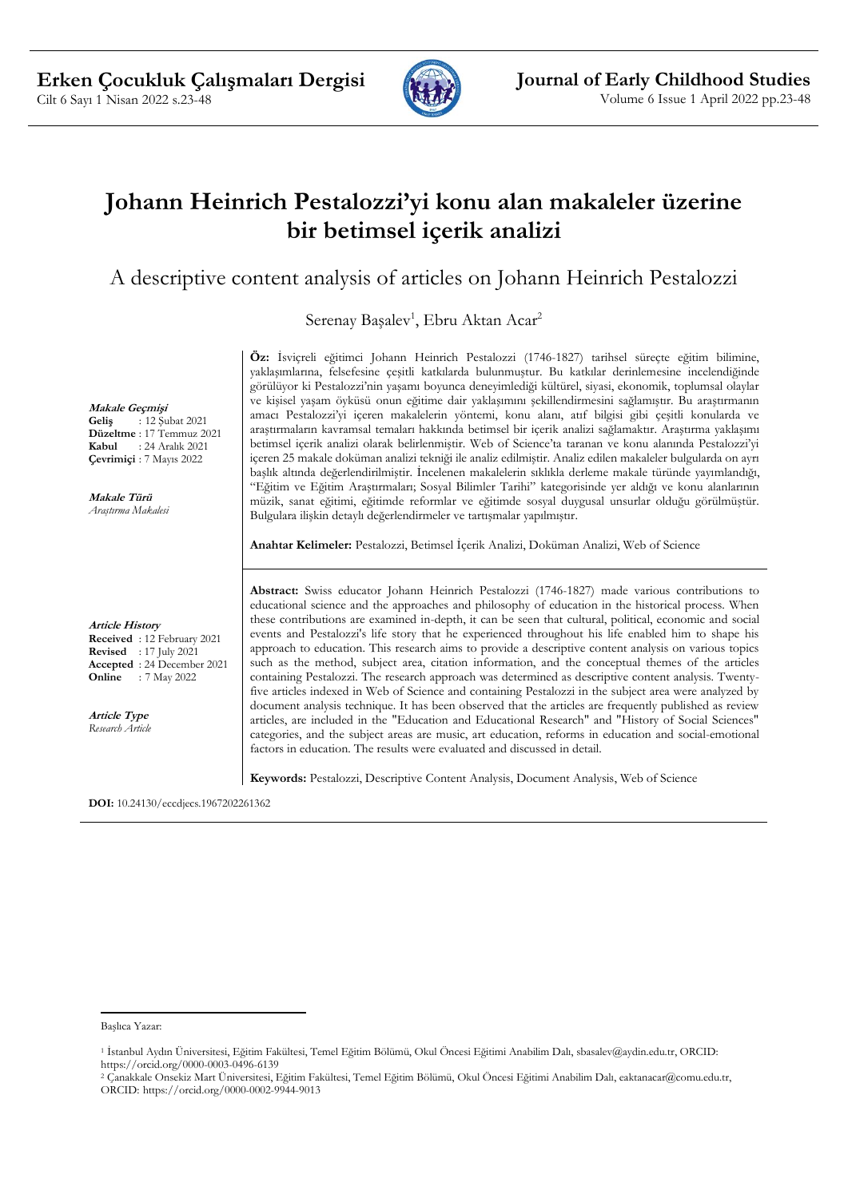

# **Johann Heinrich Pestalozzi'yi konu alan makaleler üzerine bir betimsel içerik analizi**

A descriptive content analysis of articles on Johann Heinrich Pestalozzi

Serenay Başalev<sup>1</sup>, Ebru Aktan Acar<sup>2</sup>

**Makale Geçmişi**

**Geliş** : 12 Şubat 2021 **Düzeltme** : 17 Temmuz 2021 **Kabul** : 24 Aralık 2021 **Çevrimiçi** : 7 Mayıs 2022

**Makale Türü** *Araştırma Makalesi*

**Article History Received** : 12 February 2021 **Revised** : 17 July 2021 **Accepted** : 24 December 2021 **Online** : 7 May 2022

**Article Type** *Research Article* **Öz:** İsviçreli eğitimci Johann Heinrich Pestalozzi (1746-1827) tarihsel süreçte eğitim bilimine, yaklaşımlarına, felsefesine çeşitli katkılarda bulunmuştur. Bu katkılar derinlemesine incelendiğinde görülüyor ki Pestalozzi'nin yaşamı boyunca deneyimlediği kültürel, siyasi, ekonomik, toplumsal olaylar ve kişisel yaşam öyküsü onun eğitime dair yaklaşımını şekillendirmesini sağlamıştır. Bu araştırmanın amacı Pestalozzi'yi içeren makalelerin yöntemi, konu alanı, atıf bilgisi gibi çeşitli konularda ve araştırmaların kavramsal temaları hakkında betimsel bir içerik analizi sağlamaktır. Araştırma yaklaşımı betimsel içerik analizi olarak belirlenmiştir. Web of Science'ta taranan ve konu alanında Pestalozzi'yi içeren 25 makale doküman analizi tekniği ile analiz edilmiştir. Analiz edilen makaleler bulgularda on ayrı başlık altında değerlendirilmiştir. İncelenen makalelerin sıklıkla derleme makale türünde yayımlandığı, "Eğitim ve Eğitim Araştırmaları; Sosyal Bilimler Tarihi" kategorisinde yer aldığı ve konu alanlarının müzik, sanat eğitimi, eğitimde reformlar ve eğitimde sosyal duygusal unsurlar olduğu görülmüştür. Bulgulara ilişkin detaylı değerlendirmeler ve tartışmalar yapılmıştır.

**Anahtar Kelimeler:** Pestalozzi, Betimsel İçerik Analizi, Doküman Analizi, Web of Science

**Abstract:** Swiss educator Johann Heinrich Pestalozzi (1746-1827) made various contributions to educational science and the approaches and philosophy of education in the historical process. When these contributions are examined in-depth, it can be seen that cultural, political, economic and social events and Pestalozzi's life story that he experienced throughout his life enabled him to shape his approach to education. This research aims to provide a descriptive content analysis on various topics such as the method, subject area, citation information, and the conceptual themes of the articles containing Pestalozzi. The research approach was determined as descriptive content analysis. Twentyfive articles indexed in Web of Science and containing Pestalozzi in the subject area were analyzed by document analysis technique. It has been observed that the articles are frequently published as review articles, are included in the "Education and Educational Research" and "History of Social Sciences" categories, and the subject areas are music, art education, reforms in education and social-emotional factors in education. The results were evaluated and discussed in detail.

**Keywords:** Pestalozzi, Descriptive Content Analysis, Document Analysis, Web of Science

**DOI:** 10.24130/eccdjecs.1967202261362

Başlıca Yazar:

<sup>1</sup> İstanbul Aydın Üniversitesi, Eğitim Fakültesi, Temel Eğitim Bölümü, Okul Öncesi Eğitimi Anabilim Dalı, sbasalev@aydin.edu.tr, ORCID: https://orcid.org/0000-0003-0496-6139

<sup>2</sup> Çanakkale Onsekiz Mart Üniversitesi, Eğitim Fakültesi, Temel Eğitim Bölümü, Okul Öncesi Eğitimi Anabilim Dalı, eaktanacar@comu.edu.tr, ORCID: https://orcid.org/0000-0002-9944-9013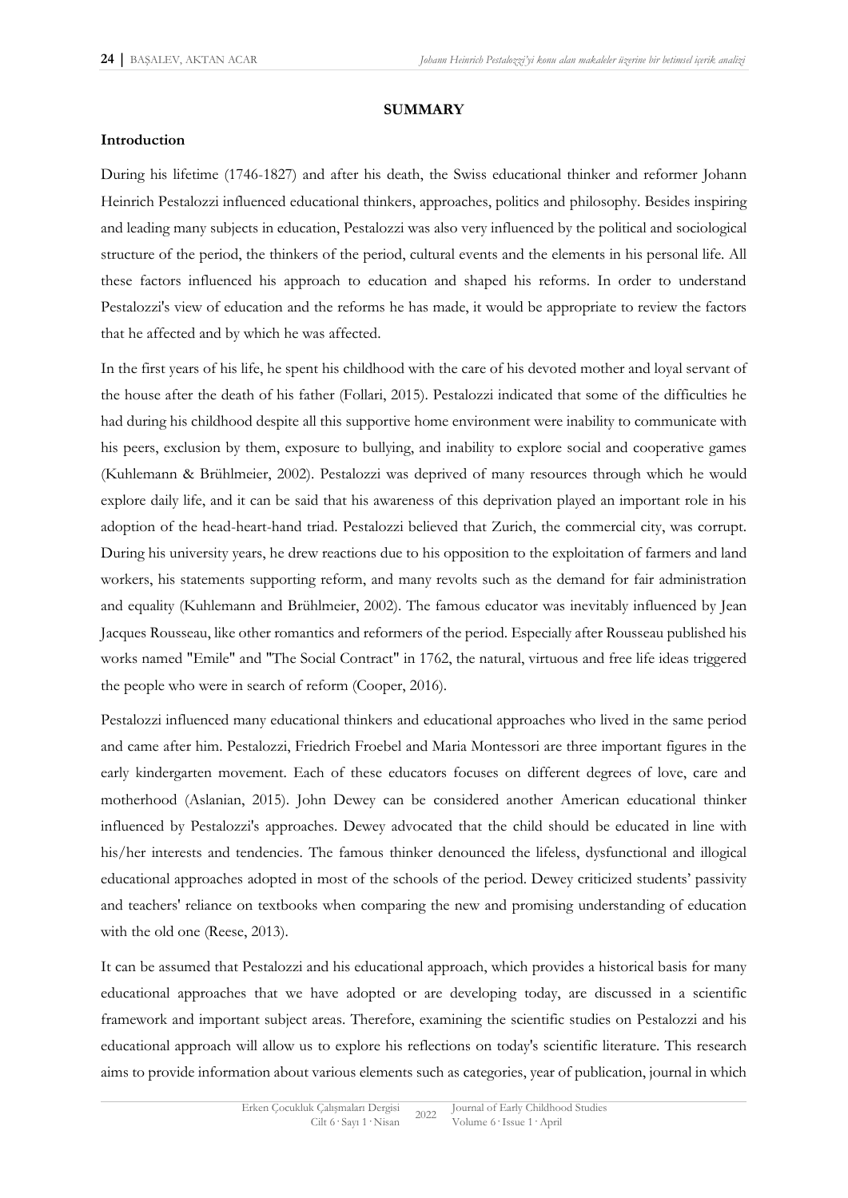#### **SUMMARY**

### **Introduction**

During his lifetime (1746-1827) and after his death, the Swiss educational thinker and reformer Johann Heinrich Pestalozzi influenced educational thinkers, approaches, politics and philosophy. Besides inspiring and leading many subjects in education, Pestalozzi was also very influenced by the political and sociological structure of the period, the thinkers of the period, cultural events and the elements in his personal life. All these factors influenced his approach to education and shaped his reforms. In order to understand Pestalozzi's view of education and the reforms he has made, it would be appropriate to review the factors that he affected and by which he was affected.

In the first years of his life, he spent his childhood with the care of his devoted mother and loyal servant of the house after the death of his father (Follari, 2015). Pestalozzi indicated that some of the difficulties he had during his childhood despite all this supportive home environment were inability to communicate with his peers, exclusion by them, exposure to bullying, and inability to explore social and cooperative games (Kuhlemann & Brühlmeier, 2002). Pestalozzi was deprived of many resources through which he would explore daily life, and it can be said that his awareness of this deprivation played an important role in his adoption of the head-heart-hand triad. Pestalozzi believed that Zurich, the commercial city, was corrupt. During his university years, he drew reactions due to his opposition to the exploitation of farmers and land workers, his statements supporting reform, and many revolts such as the demand for fair administration and equality (Kuhlemann and Brühlmeier, 2002). The famous educator was inevitably influenced by Jean Jacques Rousseau, like other romantics and reformers of the period. Especially after Rousseau published his works named "Emile" and "The Social Contract" in 1762, the natural, virtuous and free life ideas triggered the people who were in search of reform (Cooper, 2016).

Pestalozzi influenced many educational thinkers and educational approaches who lived in the same period and came after him. Pestalozzi, Friedrich Froebel and Maria Montessori are three important figures in the early kindergarten movement. Each of these educators focuses on different degrees of love, care and motherhood (Aslanian, 2015). John Dewey can be considered another American educational thinker influenced by Pestalozzi's approaches. Dewey advocated that the child should be educated in line with his/her interests and tendencies. The famous thinker denounced the lifeless, dysfunctional and illogical educational approaches adopted in most of the schools of the period. Dewey criticized students' passivity and teachers' reliance on textbooks when comparing the new and promising understanding of education with the old one (Reese, 2013).

It can be assumed that Pestalozzi and his educational approach, which provides a historical basis for many educational approaches that we have adopted or are developing today, are discussed in a scientific framework and important subject areas. Therefore, examining the scientific studies on Pestalozzi and his educational approach will allow us to explore his reflections on today's scientific literature. This research aims to provide information about various elements such as categories, year of publication, journal in which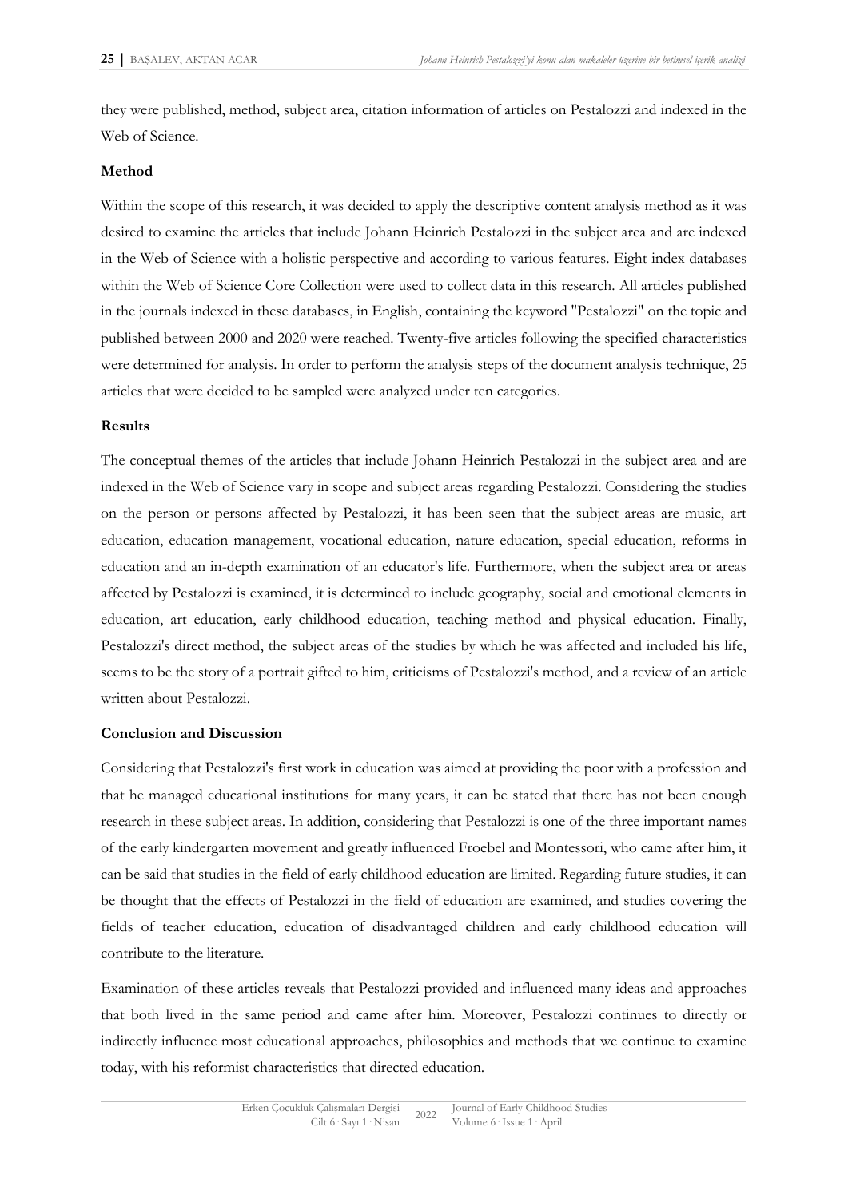they were published, method, subject area, citation information of articles on Pestalozzi and indexed in the Web of Science.

#### **Method**

Within the scope of this research, it was decided to apply the descriptive content analysis method as it was desired to examine the articles that include Johann Heinrich Pestalozzi in the subject area and are indexed in the Web of Science with a holistic perspective and according to various features. Eight index databases within the Web of Science Core Collection were used to collect data in this research. All articles published in the journals indexed in these databases, in English, containing the keyword "Pestalozzi" on the topic and published between 2000 and 2020 were reached. Twenty-five articles following the specified characteristics were determined for analysis. In order to perform the analysis steps of the document analysis technique, 25 articles that were decided to be sampled were analyzed under ten categories.

### **Results**

The conceptual themes of the articles that include Johann Heinrich Pestalozzi in the subject area and are indexed in the Web of Science vary in scope and subject areas regarding Pestalozzi. Considering the studies on the person or persons affected by Pestalozzi, it has been seen that the subject areas are music, art education, education management, vocational education, nature education, special education, reforms in education and an in-depth examination of an educator's life. Furthermore, when the subject area or areas affected by Pestalozzi is examined, it is determined to include geography, social and emotional elements in education, art education, early childhood education, teaching method and physical education. Finally, Pestalozzi's direct method, the subject areas of the studies by which he was affected and included his life, seems to be the story of a portrait gifted to him, criticisms of Pestalozzi's method, and a review of an article written about Pestalozzi.

### **Conclusion and Discussion**

Considering that Pestalozzi's first work in education was aimed at providing the poor with a profession and that he managed educational institutions for many years, it can be stated that there has not been enough research in these subject areas. In addition, considering that Pestalozzi is one of the three important names of the early kindergarten movement and greatly influenced Froebel and Montessori, who came after him, it can be said that studies in the field of early childhood education are limited. Regarding future studies, it can be thought that the effects of Pestalozzi in the field of education are examined, and studies covering the fields of teacher education, education of disadvantaged children and early childhood education will contribute to the literature.

Examination of these articles reveals that Pestalozzi provided and influenced many ideas and approaches that both lived in the same period and came after him. Moreover, Pestalozzi continues to directly or indirectly influence most educational approaches, philosophies and methods that we continue to examine today, with his reformist characteristics that directed education.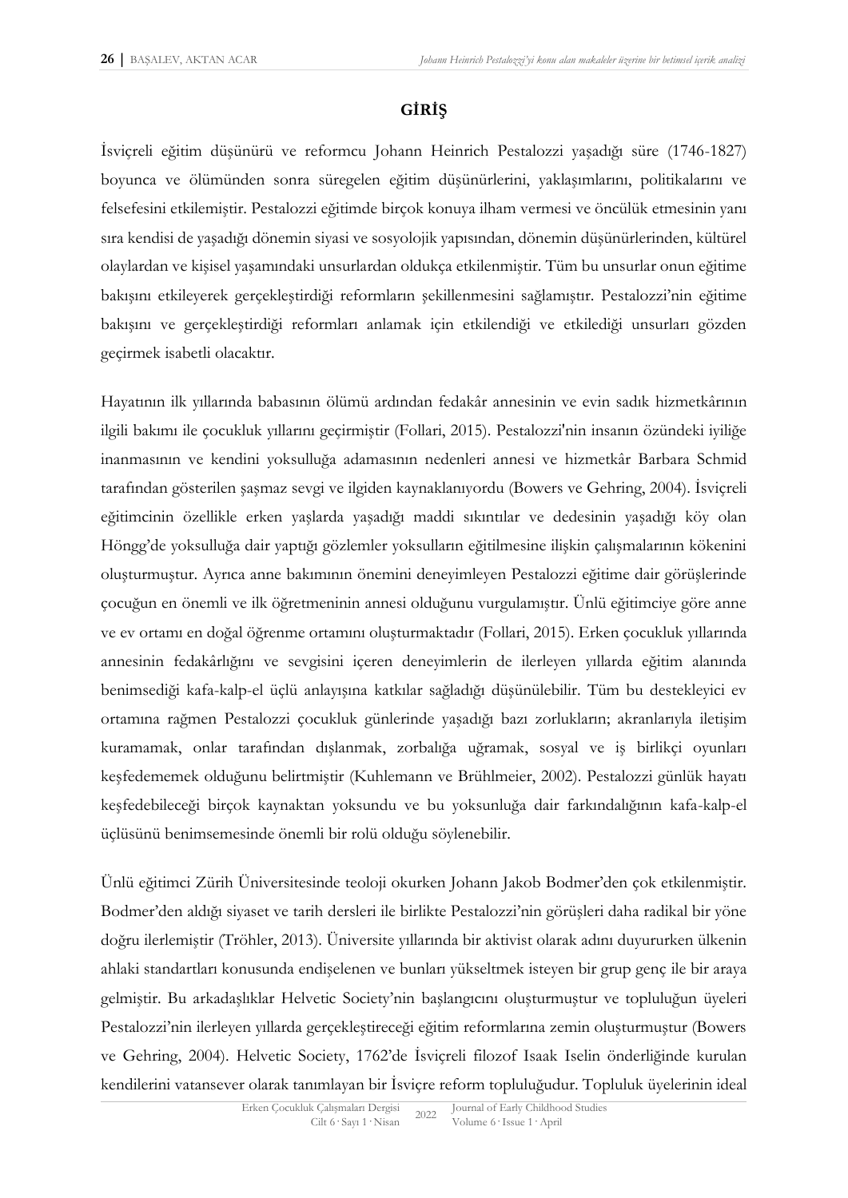# **GİRİŞ**

İsviçreli eğitim düşünürü ve reformcu Johann Heinrich Pestalozzi yaşadığı süre (1746-1827) boyunca ve ölümünden sonra süregelen eğitim düşünürlerini, yaklaşımlarını, politikalarını ve felsefesini etkilemiştir. Pestalozzi eğitimde birçok konuya ilham vermesi ve öncülük etmesinin yanı sıra kendisi de yaşadığı dönemin siyasi ve sosyolojik yapısından, dönemin düşünürlerinden, kültürel olaylardan ve kişisel yaşamındaki unsurlardan oldukça etkilenmiştir. Tüm bu unsurlar onun eğitime bakışını etkileyerek gerçekleştirdiği reformların şekillenmesini sağlamıştır. Pestalozzi'nin eğitime bakışını ve gerçekleştirdiği reformları anlamak için etkilendiği ve etkilediği unsurları gözden geçirmek isabetli olacaktır.

Hayatının ilk yıllarında babasının ölümü ardından fedakâr annesinin ve evin sadık hizmetkârının ilgili bakımı ile çocukluk yıllarını geçirmiştir (Follari, 2015). Pestalozzi'nin insanın özündeki iyiliğe inanmasının ve kendini yoksulluğa adamasının nedenleri annesi ve hizmetkâr Barbara Schmid tarafından gösterilen şaşmaz sevgi ve ilgiden kaynaklanıyordu (Bowers ve Gehring, 2004). İsviçreli eğitimcinin özellikle erken yaşlarda yaşadığı maddi sıkıntılar ve dedesinin yaşadığı köy olan Höngg'de yoksulluğa dair yaptığı gözlemler yoksulların eğitilmesine ilişkin çalışmalarının kökenini oluşturmuştur. Ayrıca anne bakımının önemini deneyimleyen Pestalozzi eğitime dair görüşlerinde çocuğun en önemli ve ilk öğretmeninin annesi olduğunu vurgulamıştır. Ünlü eğitimciye göre anne ve ev ortamı en doğal öğrenme ortamını oluşturmaktadır (Follari, 2015). Erken çocukluk yıllarında annesinin fedakârlığını ve sevgisini içeren deneyimlerin de ilerleyen yıllarda eğitim alanında benimsediği kafa-kalp-el üçlü anlayışına katkılar sağladığı düşünülebilir. Tüm bu destekleyici ev ortamına rağmen Pestalozzi çocukluk günlerinde yaşadığı bazı zorlukların; akranlarıyla iletişim kuramamak, onlar tarafından dışlanmak, zorbalığa uğramak, sosyal ve iş birlikçi oyunları keşfedememek olduğunu belirtmiştir (Kuhlemann ve Brühlmeier, 2002). Pestalozzi günlük hayatı keşfedebileceği birçok kaynaktan yoksundu ve bu yoksunluğa dair farkındalığının kafa-kalp-el üçlüsünü benimsemesinde önemli bir rolü olduğu söylenebilir.

Ünlü eğitimci Zürih Üniversitesinde teoloji okurken Johann Jakob Bodmer'den çok etkilenmiştir. Bodmer'den aldığı siyaset ve tarih dersleri ile birlikte Pestalozzi'nin görüşleri daha radikal bir yöne doğru ilerlemiştir (Tröhler, 2013). Üniversite yıllarında bir aktivist olarak adını duyururken ülkenin ahlaki standartları konusunda endişelenen ve bunları yükseltmek isteyen bir grup genç ile bir araya gelmiştir. Bu arkadaşlıklar Helvetic Society'nin başlangıcını oluşturmuştur ve topluluğun üyeleri Pestalozzi'nin ilerleyen yıllarda gerçekleştireceği eğitim reformlarına zemin oluşturmuştur (Bowers ve Gehring, 2004). Helvetic Society, 1762'de İsviçreli filozof Isaak Iselin önderliğinde kurulan kendilerini vatansever olarak tanımlayan bir İsviçre reform topluluğudur. Topluluk üyelerinin ideal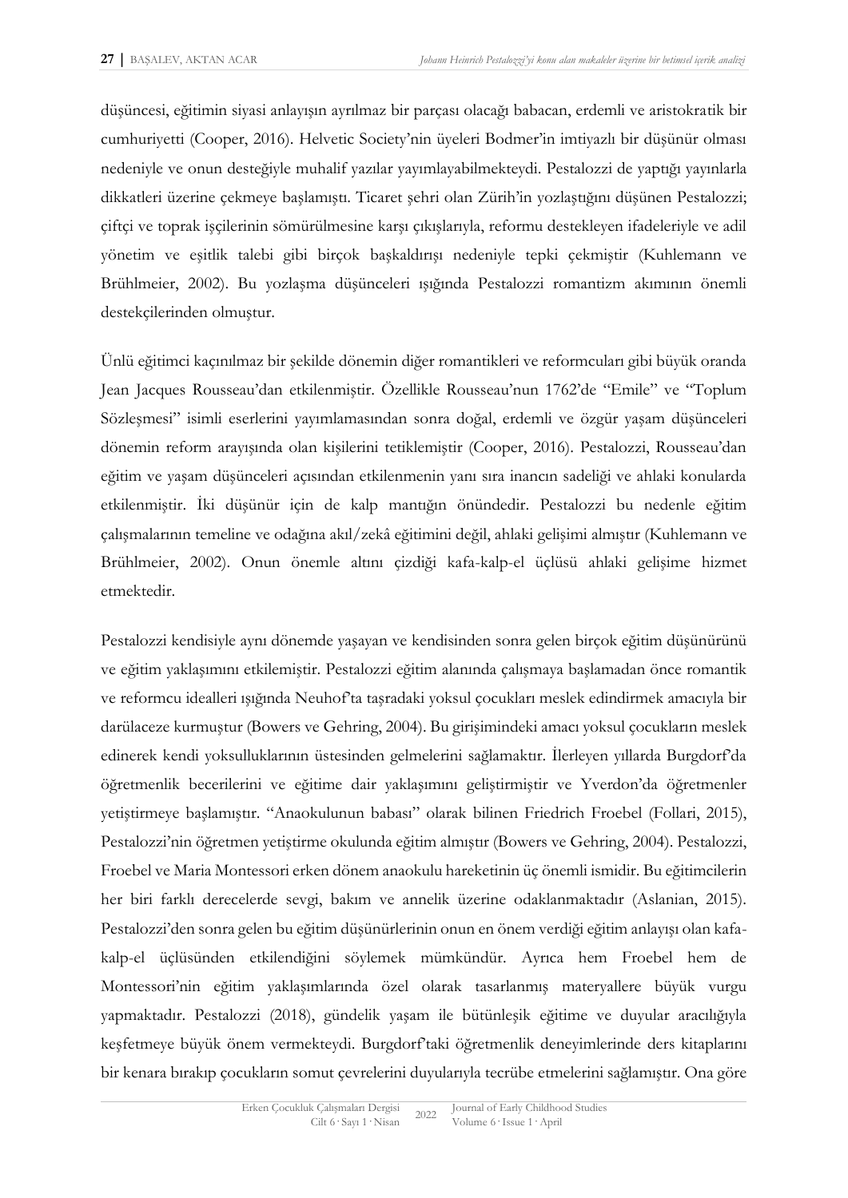düşüncesi, eğitimin siyasi anlayışın ayrılmaz bir parçası olacağı babacan, erdemli ve aristokratik bir cumhuriyetti (Cooper, 2016). Helvetic Society'nin üyeleri Bodmer'in imtiyazlı bir düşünür olması nedeniyle ve onun desteğiyle muhalif yazılar yayımlayabilmekteydi. Pestalozzi de yaptığı yayınlarla dikkatleri üzerine çekmeye başlamıştı. Ticaret şehri olan Zürih'in yozlaştığını düşünen Pestalozzi; çiftçi ve toprak işçilerinin sömürülmesine karşı çıkışlarıyla, reformu destekleyen ifadeleriyle ve adil yönetim ve eşitlik talebi gibi birçok başkaldırışı nedeniyle tepki çekmiştir (Kuhlemann ve Brühlmeier, 2002). Bu yozlaşma düşünceleri ışığında Pestalozzi romantizm akımının önemli destekçilerinden olmuştur.

Ünlü eğitimci kaçınılmaz bir şekilde dönemin diğer romantikleri ve reformcuları gibi büyük oranda Jean Jacques Rousseau'dan etkilenmiştir. Özellikle Rousseau'nun 1762'de "Emile" ve "Toplum Sözleşmesi" isimli eserlerini yayımlamasından sonra doğal, erdemli ve özgür yaşam düşünceleri dönemin reform arayışında olan kişilerini tetiklemiştir (Cooper, 2016). Pestalozzi, Rousseau'dan eğitim ve yaşam düşünceleri açısından etkilenmenin yanı sıra inancın sadeliği ve ahlaki konularda etkilenmiştir. İki düşünür için de kalp mantığın önündedir. Pestalozzi bu nedenle eğitim çalışmalarının temeline ve odağına akıl/zekâ eğitimini değil, ahlaki gelişimi almıştır (Kuhlemann ve Brühlmeier, 2002). Onun önemle altını çizdiği kafa-kalp-el üçlüsü ahlaki gelişime hizmet etmektedir.

Pestalozzi kendisiyle aynı dönemde yaşayan ve kendisinden sonra gelen birçok eğitim düşünürünü ve eğitim yaklaşımını etkilemiştir. Pestalozzi eğitim alanında çalışmaya başlamadan önce romantik ve reformcu idealleri ışığında Neuhof'ta taşradaki yoksul çocukları meslek edindirmek amacıyla bir darülaceze kurmuştur (Bowers ve Gehring, 2004). Bu girişimindeki amacı yoksul çocukların meslek edinerek kendi yoksulluklarının üstesinden gelmelerini sağlamaktır. İlerleyen yıllarda Burgdorf'da öğretmenlik becerilerini ve eğitime dair yaklaşımını geliştirmiştir ve Yverdon'da öğretmenler yetiştirmeye başlamıştır. "Anaokulunun babası" olarak bilinen Friedrich Froebel (Follari, 2015), Pestalozzi'nin öğretmen yetiştirme okulunda eğitim almıştır (Bowers ve Gehring, 2004). Pestalozzi, Froebel ve Maria Montessori erken dönem anaokulu hareketinin üç önemli ismidir. Bu eğitimcilerin her biri farklı derecelerde sevgi, bakım ve annelik üzerine odaklanmaktadır (Aslanian, 2015). Pestalozzi'den sonra gelen bu eğitim düşünürlerinin onun en önem verdiği eğitim anlayışı olan kafakalp-el üçlüsünden etkilendiğini söylemek mümkündür. Ayrıca hem Froebel hem de Montessori'nin eğitim yaklaşımlarında özel olarak tasarlanmış materyallere büyük vurgu yapmaktadır. Pestalozzi (2018), gündelik yaşam ile bütünleşik eğitime ve duyular aracılığıyla keşfetmeye büyük önem vermekteydi. Burgdorf'taki öğretmenlik deneyimlerinde ders kitaplarını bir kenara bırakıp çocukların somut çevrelerini duyularıyla tecrübe etmelerini sağlamıştır. Ona göre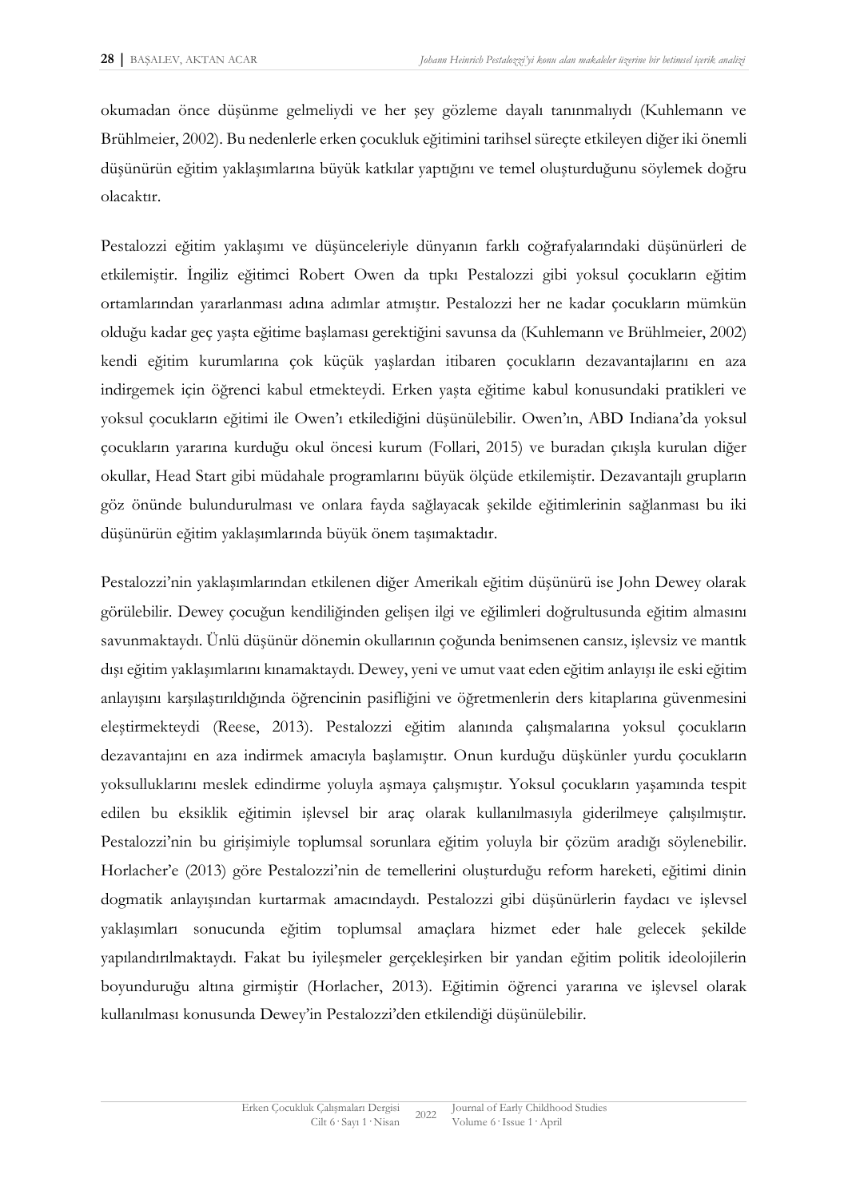okumadan önce düşünme gelmeliydi ve her şey gözleme dayalı tanınmalıydı (Kuhlemann ve Brühlmeier, 2002). Bu nedenlerle erken çocukluk eğitimini tarihsel süreçte etkileyen diğer iki önemli düşünürün eğitim yaklaşımlarına büyük katkılar yaptığını ve temel oluşturduğunu söylemek doğru olacaktır.

Pestalozzi eğitim yaklaşımı ve düşünceleriyle dünyanın farklı coğrafyalarındaki düşünürleri de etkilemiştir. İngiliz eğitimci Robert Owen da tıpkı Pestalozzi gibi yoksul çocukların eğitim ortamlarından yararlanması adına adımlar atmıştır. Pestalozzi her ne kadar çocukların mümkün olduğu kadar geç yaşta eğitime başlaması gerektiğini savunsa da (Kuhlemann ve Brühlmeier, 2002) kendi eğitim kurumlarına çok küçük yaşlardan itibaren çocukların dezavantajlarını en aza indirgemek için öğrenci kabul etmekteydi. Erken yaşta eğitime kabul konusundaki pratikleri ve yoksul çocukların eğitimi ile Owen'ı etkilediğini düşünülebilir. Owen'ın, ABD Indiana'da yoksul çocukların yararına kurduğu okul öncesi kurum (Follari, 2015) ve buradan çıkışla kurulan diğer okullar, Head Start gibi müdahale programlarını büyük ölçüde etkilemiştir. Dezavantajlı grupların göz önünde bulundurulması ve onlara fayda sağlayacak şekilde eğitimlerinin sağlanması bu iki düşünürün eğitim yaklaşımlarında büyük önem taşımaktadır.

Pestalozzi'nin yaklaşımlarından etkilenen diğer Amerikalı eğitim düşünürü ise John Dewey olarak görülebilir. Dewey çocuğun kendiliğinden gelişen ilgi ve eğilimleri doğrultusunda eğitim almasını savunmaktaydı. Ünlü düşünür dönemin okullarının çoğunda benimsenen cansız, işlevsiz ve mantık dışı eğitim yaklaşımlarını kınamaktaydı. Dewey, yeni ve umut vaat eden eğitim anlayışı ile eski eğitim anlayışını karşılaştırıldığında öğrencinin pasifliğini ve öğretmenlerin ders kitaplarına güvenmesini eleştirmekteydi (Reese, 2013). Pestalozzi eğitim alanında çalışmalarına yoksul çocukların dezavantajını en aza indirmek amacıyla başlamıştır. Onun kurduğu düşkünler yurdu çocukların yoksulluklarını meslek edindirme yoluyla aşmaya çalışmıştır. Yoksul çocukların yaşamında tespit edilen bu eksiklik eğitimin işlevsel bir araç olarak kullanılmasıyla giderilmeye çalışılmıştır. Pestalozzi'nin bu girişimiyle toplumsal sorunlara eğitim yoluyla bir çözüm aradığı söylenebilir. Horlacher'e (2013) göre Pestalozzi'nin de temellerini oluşturduğu reform hareketi, eğitimi dinin dogmatik anlayışından kurtarmak amacındaydı. Pestalozzi gibi düşünürlerin faydacı ve işlevsel yaklaşımları sonucunda eğitim toplumsal amaçlara hizmet eder hale gelecek şekilde yapılandırılmaktaydı. Fakat bu iyileşmeler gerçekleşirken bir yandan eğitim politik ideolojilerin boyunduruğu altına girmiştir (Horlacher, 2013). Eğitimin öğrenci yararına ve işlevsel olarak kullanılması konusunda Dewey'in Pestalozzi'den etkilendiği düşünülebilir.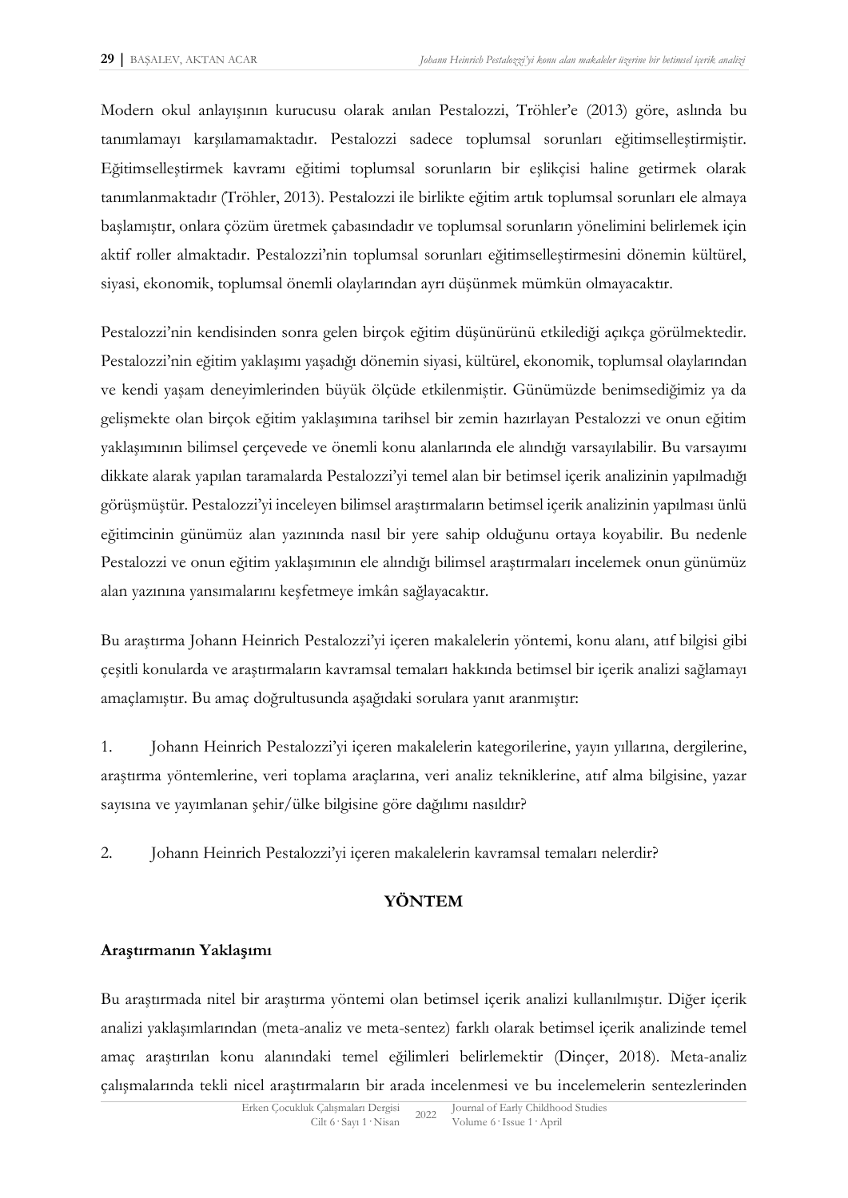Modern okul anlayışının kurucusu olarak anılan Pestalozzi, Tröhler'e (2013) göre, aslında bu tanımlamayı karşılamamaktadır. Pestalozzi sadece toplumsal sorunları eğitimselleştirmiştir. Eğitimselleştirmek kavramı eğitimi toplumsal sorunların bir eşlikçisi haline getirmek olarak tanımlanmaktadır (Tröhler, 2013). Pestalozzi ile birlikte eğitim artık toplumsal sorunları ele almaya başlamıştır, onlara çözüm üretmek çabasındadır ve toplumsal sorunların yönelimini belirlemek için aktif roller almaktadır. Pestalozzi'nin toplumsal sorunları eğitimselleştirmesini dönemin kültürel, siyasi, ekonomik, toplumsal önemli olaylarından ayrı düşünmek mümkün olmayacaktır.

Pestalozzi'nin kendisinden sonra gelen birçok eğitim düşünürünü etkilediği açıkça görülmektedir. Pestalozzi'nin eğitim yaklaşımı yaşadığı dönemin siyasi, kültürel, ekonomik, toplumsal olaylarından ve kendi yaşam deneyimlerinden büyük ölçüde etkilenmiştir. Günümüzde benimsediğimiz ya da gelişmekte olan birçok eğitim yaklaşımına tarihsel bir zemin hazırlayan Pestalozzi ve onun eğitim yaklaşımının bilimsel çerçevede ve önemli konu alanlarında ele alındığı varsayılabilir. Bu varsayımı dikkate alarak yapılan taramalarda Pestalozzi'yi temel alan bir betimsel içerik analizinin yapılmadığı görüşmüştür. Pestalozzi'yi inceleyen bilimsel araştırmaların betimsel içerik analizinin yapılması ünlü eğitimcinin günümüz alan yazınında nasıl bir yere sahip olduğunu ortaya koyabilir. Bu nedenle Pestalozzi ve onun eğitim yaklaşımının ele alındığı bilimsel araştırmaları incelemek onun günümüz alan yazınına yansımalarını keşfetmeye imkân sağlayacaktır.

Bu araştırma Johann Heinrich Pestalozzi'yi içeren makalelerin yöntemi, konu alanı, atıf bilgisi gibi çeşitli konularda ve araştırmaların kavramsal temaları hakkında betimsel bir içerik analizi sağlamayı amaçlamıştır. Bu amaç doğrultusunda aşağıdaki sorulara yanıt aranmıştır:

1. Johann Heinrich Pestalozzi'yi içeren makalelerin kategorilerine, yayın yıllarına, dergilerine, araştırma yöntemlerine, veri toplama araçlarına, veri analiz tekniklerine, atıf alma bilgisine, yazar sayısına ve yayımlanan şehir/ülke bilgisine göre dağılımı nasıldır?

2. Johann Heinrich Pestalozzi'yi içeren makalelerin kavramsal temaları nelerdir?

# **YÖNTEM**

### **Araştırmanın Yaklaşımı**

Bu araştırmada nitel bir araştırma yöntemi olan betimsel içerik analizi kullanılmıştır. Diğer içerik analizi yaklaşımlarından (meta-analiz ve meta-sentez) farklı olarak betimsel içerik analizinde temel amaç araştırılan konu alanındaki temel eğilimleri belirlemektir (Dinçer, 2018). Meta-analiz çalışmalarında tekli nicel araştırmaların bir arada incelenmesi ve bu incelemelerin sentezlerinden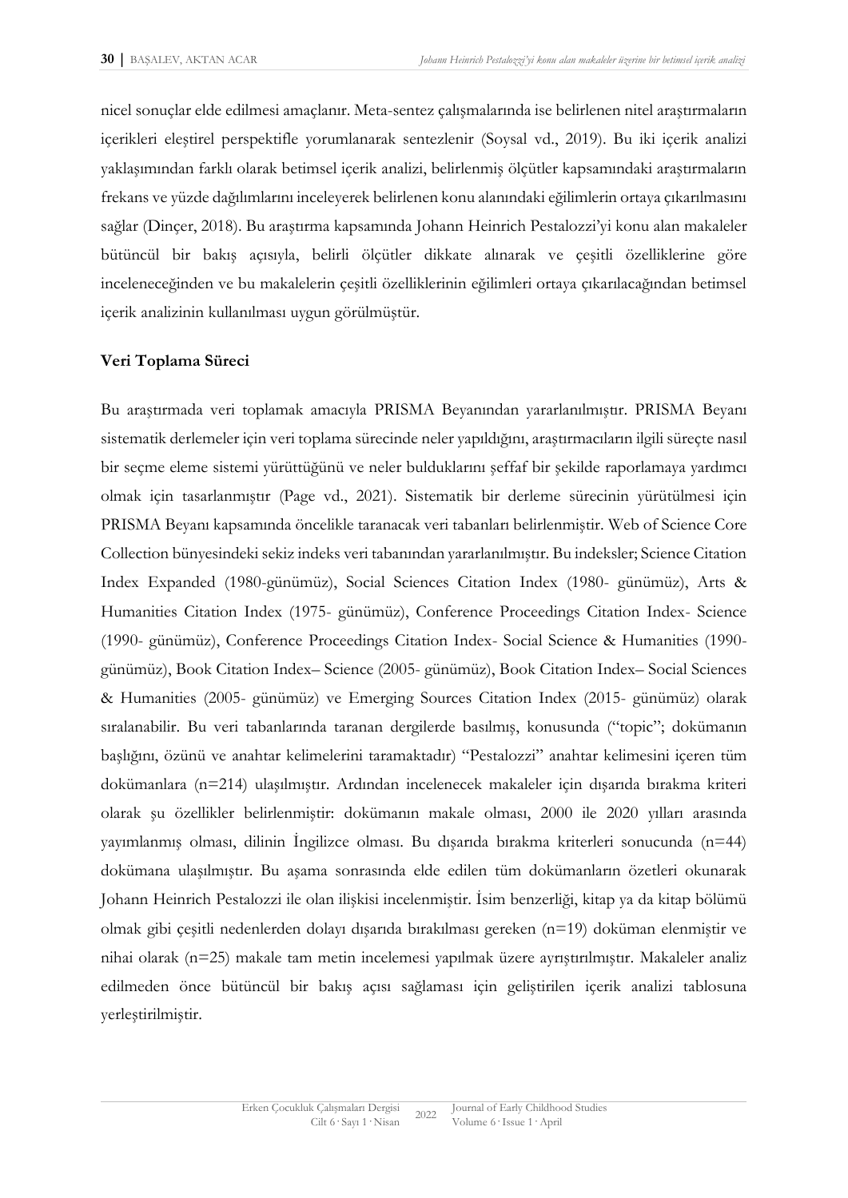nicel sonuçlar elde edilmesi amaçlanır. Meta-sentez çalışmalarında ise belirlenen nitel araştırmaların içerikleri eleştirel perspektifle yorumlanarak sentezlenir (Soysal vd., 2019). Bu iki içerik analizi yaklaşımından farklı olarak betimsel içerik analizi, belirlenmiş ölçütler kapsamındaki araştırmaların frekans ve yüzde dağılımlarını inceleyerek belirlenen konu alanındaki eğilimlerin ortaya çıkarılmasını sağlar (Dinçer, 2018). Bu araştırma kapsamında Johann Heinrich Pestalozzi'yi konu alan makaleler bütüncül bir bakış açısıyla, belirli ölçütler dikkate alınarak ve çeşitli özelliklerine göre inceleneceğinden ve bu makalelerin çeşitli özelliklerinin eğilimleri ortaya çıkarılacağından betimsel içerik analizinin kullanılması uygun görülmüştür.

# **Veri Toplama Süreci**

Bu araştırmada veri toplamak amacıyla PRISMA Beyanından yararlanılmıştır. PRISMA Beyanı sistematik derlemeler için veri toplama sürecinde neler yapıldığını, araştırmacıların ilgili süreçte nasıl bir seçme eleme sistemi yürüttüğünü ve neler bulduklarını şeffaf bir şekilde raporlamaya yardımcı olmak için tasarlanmıştır (Page vd., 2021). Sistematik bir derleme sürecinin yürütülmesi için PRISMA Beyanı kapsamında öncelikle taranacak veri tabanları belirlenmiştir. Web of Science Core Collection bünyesindeki sekiz indeks veri tabanından yararlanılmıştır. Bu indeksler; Science Citation Index Expanded (1980-günümüz), Social Sciences Citation Index (1980- günümüz), Arts & Humanities Citation Index (1975- günümüz), Conference Proceedings Citation Index- Science (1990- günümüz), Conference Proceedings Citation Index- Social Science & Humanities (1990 günümüz), Book Citation Index– Science (2005- günümüz), Book Citation Index– Social Sciences & Humanities (2005- günümüz) ve Emerging Sources Citation Index (2015- günümüz) olarak sıralanabilir. Bu veri tabanlarında taranan dergilerde basılmış, konusunda ("topic"; dokümanın başlığını, özünü ve anahtar kelimelerini taramaktadır) "Pestalozzi" anahtar kelimesini içeren tüm dokümanlara (n=214) ulaşılmıştır. Ardından incelenecek makaleler için dışarıda bırakma kriteri olarak şu özellikler belirlenmiştir: dokümanın makale olması, 2000 ile 2020 yılları arasında yayımlanmış olması, dilinin İngilizce olması. Bu dışarıda bırakma kriterleri sonucunda (n=44) dokümana ulaşılmıştır. Bu aşama sonrasında elde edilen tüm dokümanların özetleri okunarak Johann Heinrich Pestalozzi ile olan ilişkisi incelenmiştir. İsim benzerliği, kitap ya da kitap bölümü olmak gibi çeşitli nedenlerden dolayı dışarıda bırakılması gereken (n=19) doküman elenmiştir ve nihai olarak (n=25) makale tam metin incelemesi yapılmak üzere ayrıştırılmıştır. Makaleler analiz edilmeden önce bütüncül bir bakış açısı sağlaması için geliştirilen içerik analizi tablosuna yerleştirilmiştir.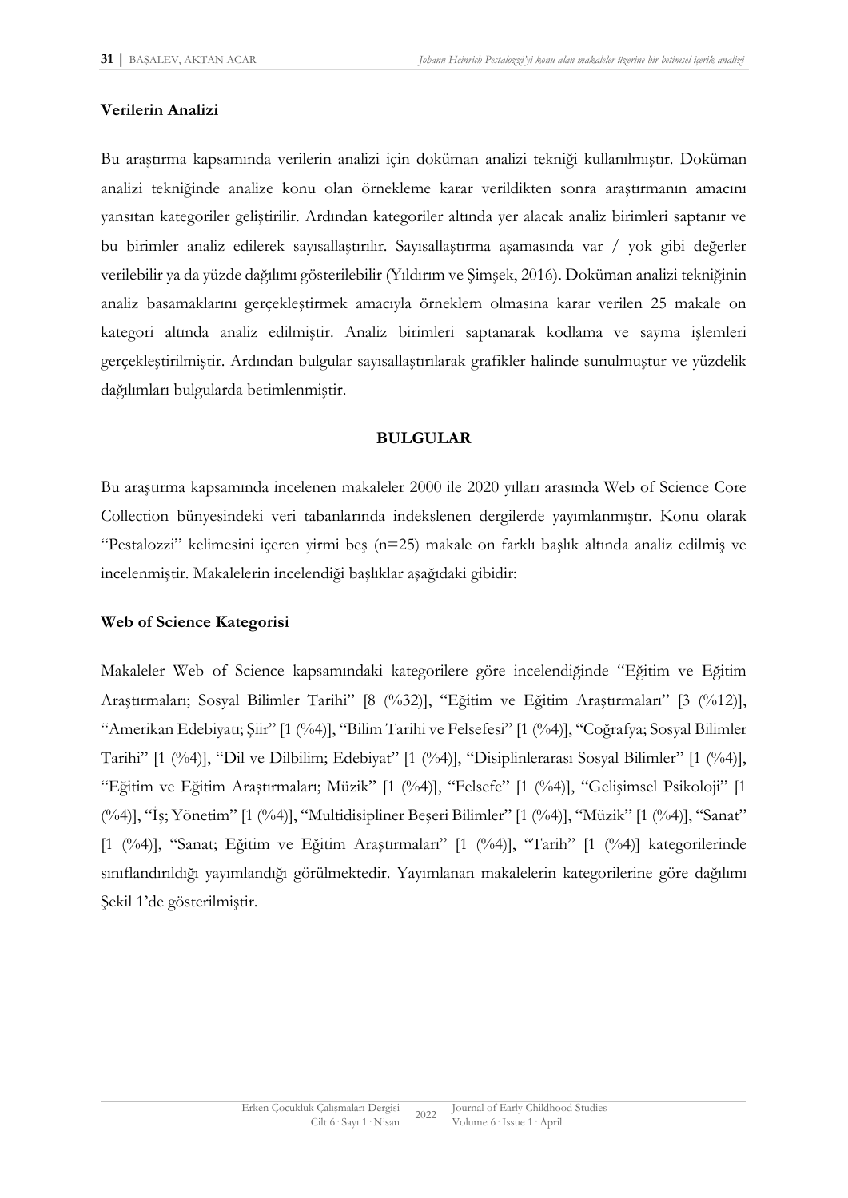### **Verilerin Analizi**

Bu araştırma kapsamında verilerin analizi için doküman analizi tekniği kullanılmıştır. Doküman analizi tekniğinde analize konu olan örnekleme karar verildikten sonra araştırmanın amacını yansıtan kategoriler geliştirilir. Ardından kategoriler altında yer alacak analiz birimleri saptanır ve bu birimler analiz edilerek sayısallaştırılır. Sayısallaştırma aşamasında var / yok gibi değerler verilebilir ya da yüzde dağılımı gösterilebilir (Yıldırım ve Şimşek, 2016). Doküman analizi tekniğinin analiz basamaklarını gerçekleştirmek amacıyla örneklem olmasına karar verilen 25 makale on kategori altında analiz edilmiştir. Analiz birimleri saptanarak kodlama ve sayma işlemleri gerçekleştirilmiştir. Ardından bulgular sayısallaştırılarak grafikler halinde sunulmuştur ve yüzdelik dağılımları bulgularda betimlenmiştir.

### **BULGULAR**

Bu araştırma kapsamında incelenen makaleler 2000 ile 2020 yılları arasında Web of Science Core Collection bünyesindeki veri tabanlarında indekslenen dergilerde yayımlanmıştır. Konu olarak "Pestalozzi" kelimesini içeren yirmi beş (n=25) makale on farklı başlık altında analiz edilmiş ve incelenmiştir. Makalelerin incelendiği başlıklar aşağıdaki gibidir:

### **Web of Science Kategorisi**

Makaleler Web of Science kapsamındaki kategorilere göre incelendiğinde "Eğitim ve Eğitim Araştırmaları; Sosyal Bilimler Tarihi" [8 (%32)], "Eğitim ve Eğitim Araştırmaları" [3 (%12)], "Amerikan Edebiyatı; Şiir" [1 (%4)], "Bilim Tarihi ve Felsefesi" [1 (%4)], "Coğrafya; Sosyal Bilimler Tarihi" [1 (%4)], "Dil ve Dilbilim; Edebiyat" [1 (%4)], "Disiplinlerarası Sosyal Bilimler" [1 (%4)], "Eğitim ve Eğitim Araştırmaları; Müzik" [1 (%4)], "Felsefe" [1 (%4)], "Gelişimsel Psikoloji" [1 (%4)], "İş; Yönetim" [1 (%4)], "Multidisipliner Beşeri Bilimler" [1 (%4)], "Müzik" [1 (%4)], "Sanat" [1 (%4)], "Sanat; Eğitim ve Eğitim Araştırmaları" [1 (%4)], "Tarih" [1 (%4)] kategorilerinde sınıflandırıldığı yayımlandığı görülmektedir. Yayımlanan makalelerin kategorilerine göre dağılımı Şekil 1'de gösterilmiştir.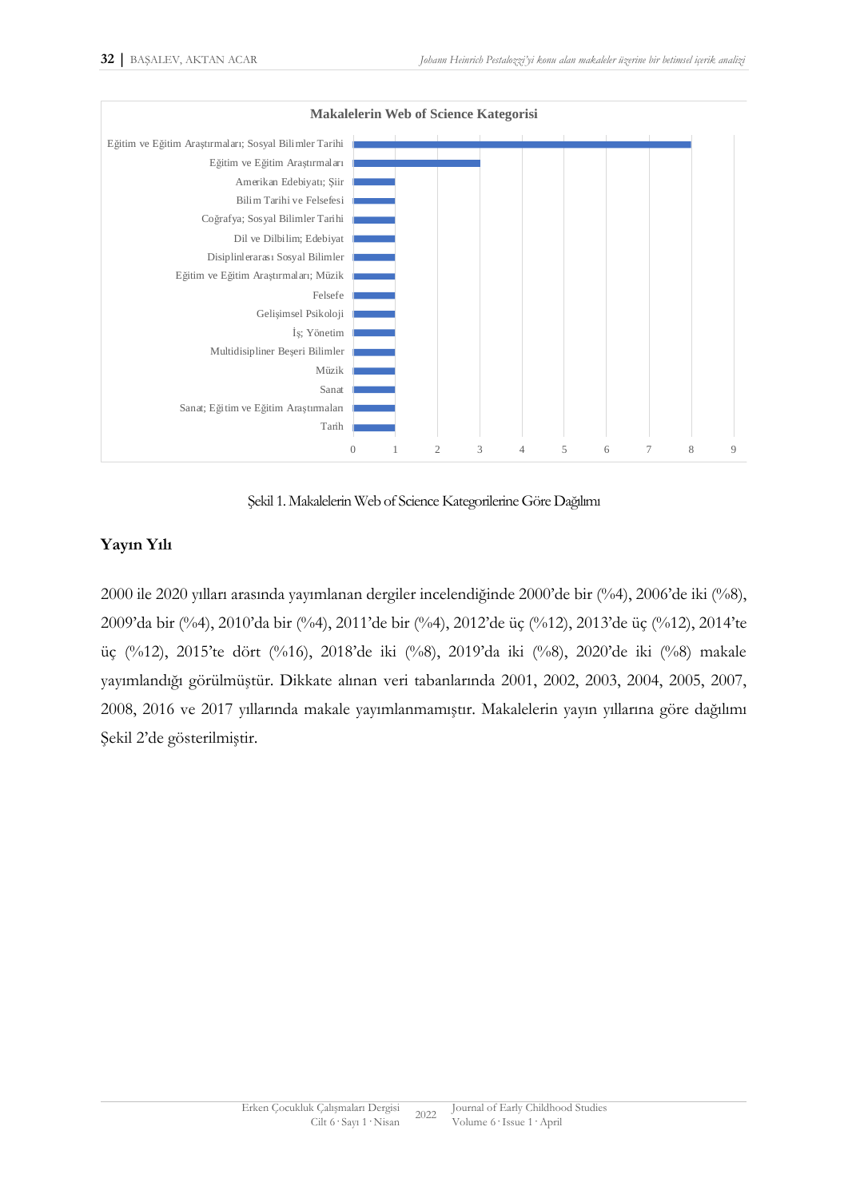

Şekil 1. Makalelerin Web of Science Kategorilerine Göre Dağılımı

# **Yayın Yılı**

2000 ile 2020 yılları arasında yayımlanan dergiler incelendiğinde 2000'de bir (%4), 2006'de iki (%8), 2009'da bir (%4), 2010'da bir (%4), 2011'de bir (%4), 2012'de üç (%12), 2013'de üç (%12), 2014'te üç (%12), 2015'te dört (%16), 2018'de iki (%8), 2019'da iki (%8), 2020'de iki (%8) makale yayımlandığı görülmüştür. Dikkate alınan veri tabanlarında 2001, 2002, 2003, 2004, 2005, 2007, 2008, 2016 ve 2017 yıllarında makale yayımlanmamıştır. Makalelerin yayın yıllarına göre dağılımı Şekil 2'de gösterilmiştir.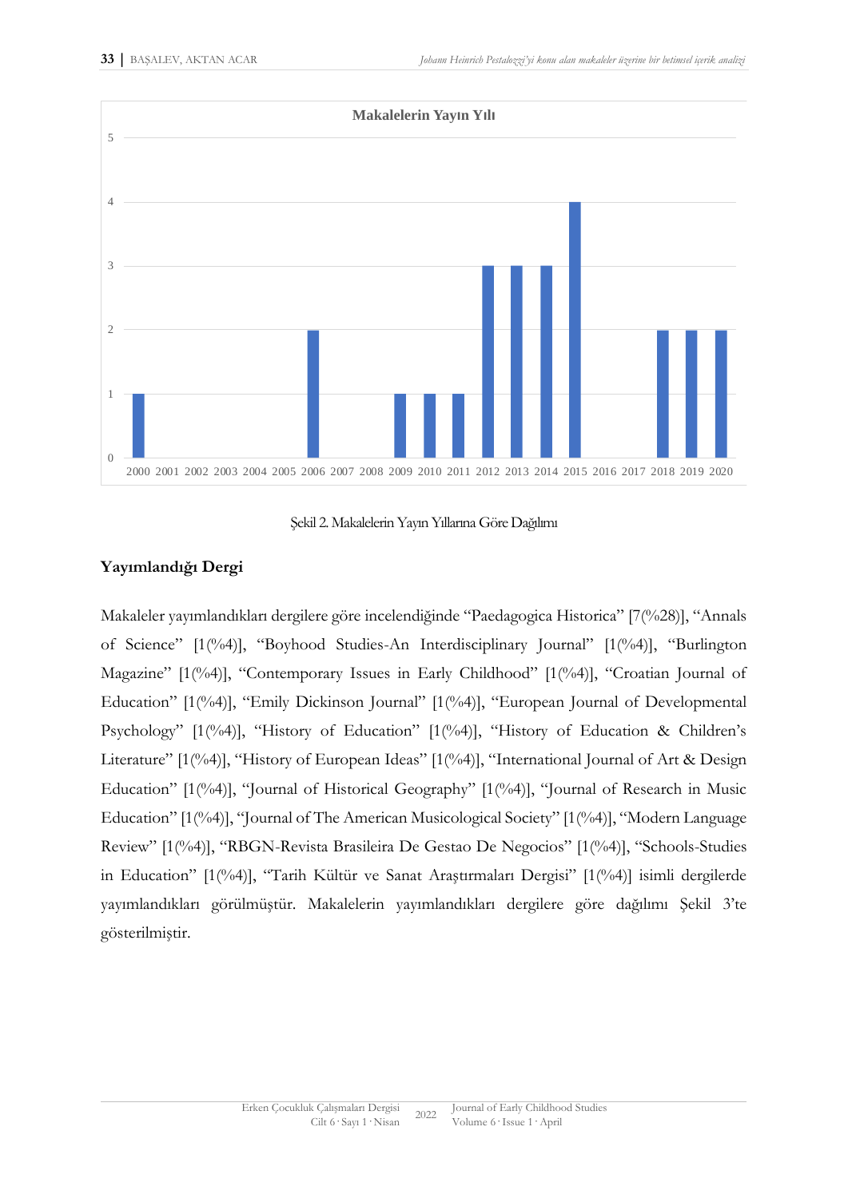

Şekil 2. Makalelerin Yayın Yıllarına Göre Dağılımı

# **Yayımlandığı Dergi**

Makaleler yayımlandıkları dergilere göre incelendiğinde "Paedagogica Historica" [7(%28)], "Annals of Science" [1(%4)], "Boyhood Studies-An Interdisciplinary Journal" [1(%4)], "Burlington Magazine" [1(%4)], "Contemporary Issues in Early Childhood" [1(%4)], "Croatian Journal of Education" [1(%4)], "Emily Dickinson Journal" [1(%4)], "European Journal of Developmental Psychology" [1(%4)], "History of Education" [1(%4)], "History of Education & Children's Literature" [1(%4)], "History of European Ideas" [1(%4)], "International Journal of Art & Design Education" [1(%4)], "Journal of Historical Geography" [1(%4)], "Journal of Research in Music Education" [1(%4)], "Journal of The American Musicological Society" [1(%4)], "Modern Language Review" [1(%4)], "RBGN-Revista Brasileira De Gestao De Negocios" [1(%4)], "Schools-Studies in Education" [1(%4)], "Tarih Kültür ve Sanat Araştırmaları Dergisi" [1(%4)] isimli dergilerde yayımlandıkları görülmüştür. Makalelerin yayımlandıkları dergilere göre dağılımı Şekil 3'te gösterilmiştir.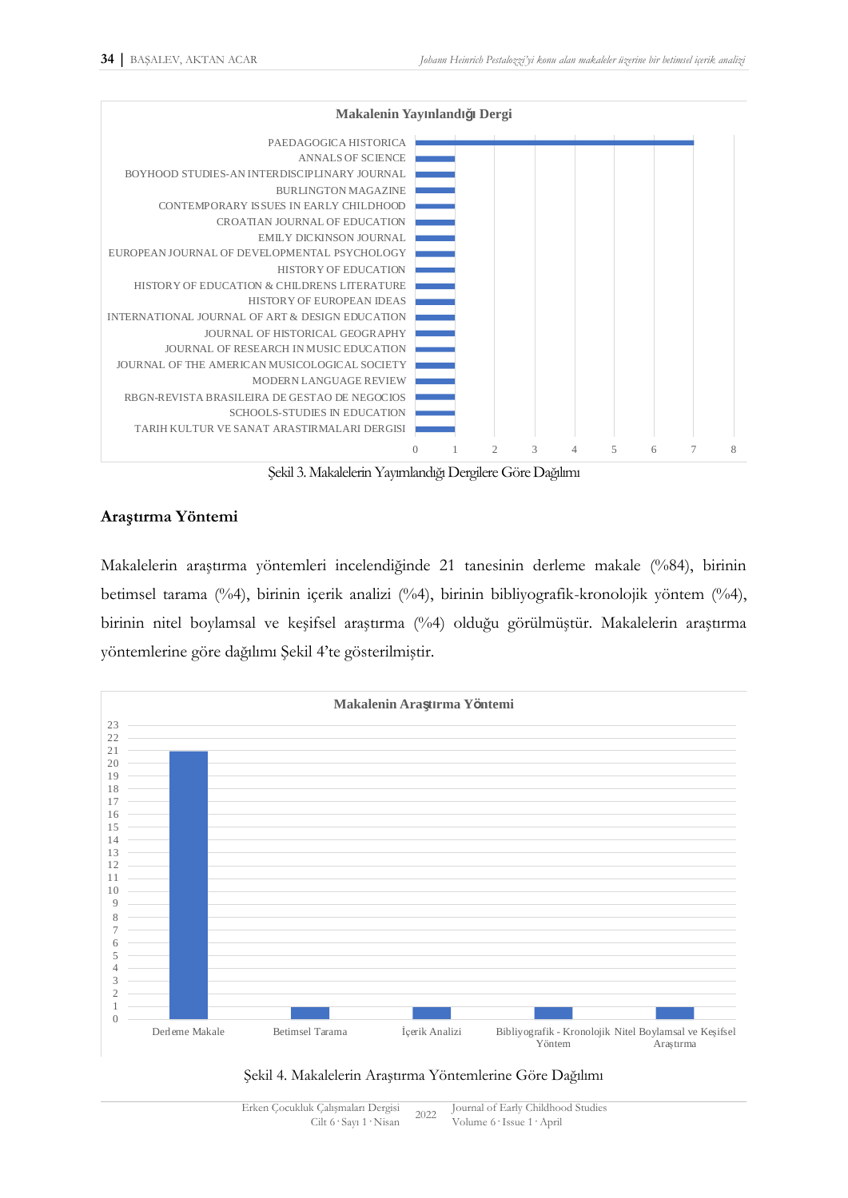

Şekil 3. Makalelerin Yayımlandığı Dergilere Göre Dağılımı

# **Araştırma Yöntemi**

Makalelerin araştırma yöntemleri incelendiğinde 21 tanesinin derleme makale (%84), birinin betimsel tarama (%4), birinin içerik analizi (%4), birinin bibliyografik-kronolojik yöntem (%4), birinin nitel boylamsal ve keşifsel araştırma (%4) olduğu görülmüştür. Makalelerin araştırma yöntemlerine göre dağılımı Şekil 4'te gösterilmiştir.



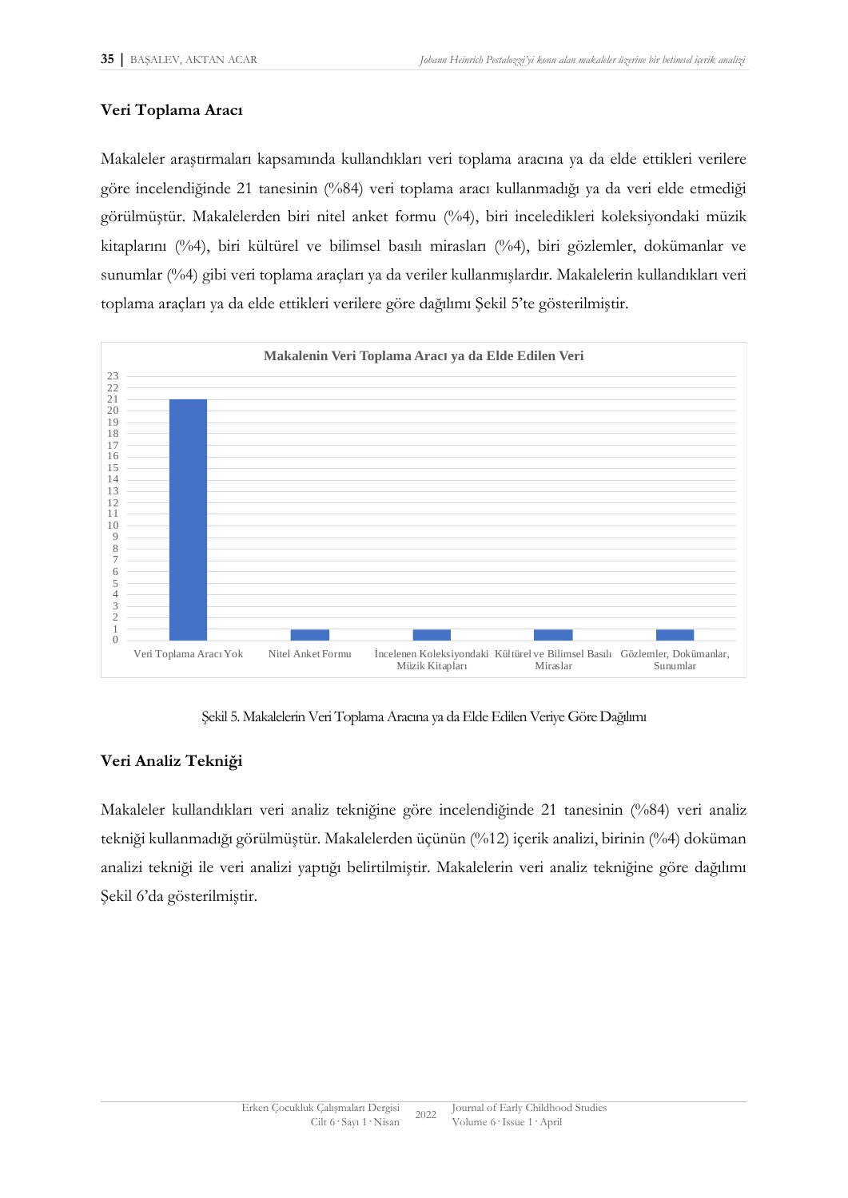### **Veri Toplama Aracı**

Makaleler araştırmaları kapsamında kullandıkları veri toplama aracına ya da elde ettikleri verilere göre incelendiğinde 21 tanesinin (%84) veri toplama aracı kullanmadığı ya da veri elde etmediği görülmüştür. Makalelerden biri nitel anket formu (%4), biri inceledikleri koleksiyondaki müzik kitaplarını (%4), biri kültürel ve bilimsel basılı mirasları (%4), biri gözlemler, dokümanlar ve sunumlar (%4) gibi veri toplama araçları ya da veriler kullanmışlardır. Makalelerin kullandıkları veri toplama araçları ya da elde ettikleri verilere göre dağılımı Şekil 5'te gösterilmiştir.



Şekil 5. Makalelerin Veri Toplama Aracına ya da Elde Edilen Veriye Göre Dağılımı

# **Veri Analiz Tekniği**

Makaleler kullandıkları veri analiz tekniğine göre incelendiğinde 21 tanesinin (%84) veri analiz tekniği kullanmadığı görülmüştür. Makalelerden üçünün (%12) içerik analizi, birinin (%4) doküman analizi tekniği ile veri analizi yaptığı belirtilmiştir. Makalelerin veri analiz tekniğine göre dağılımı Şekil 6'da gösterilmiştir.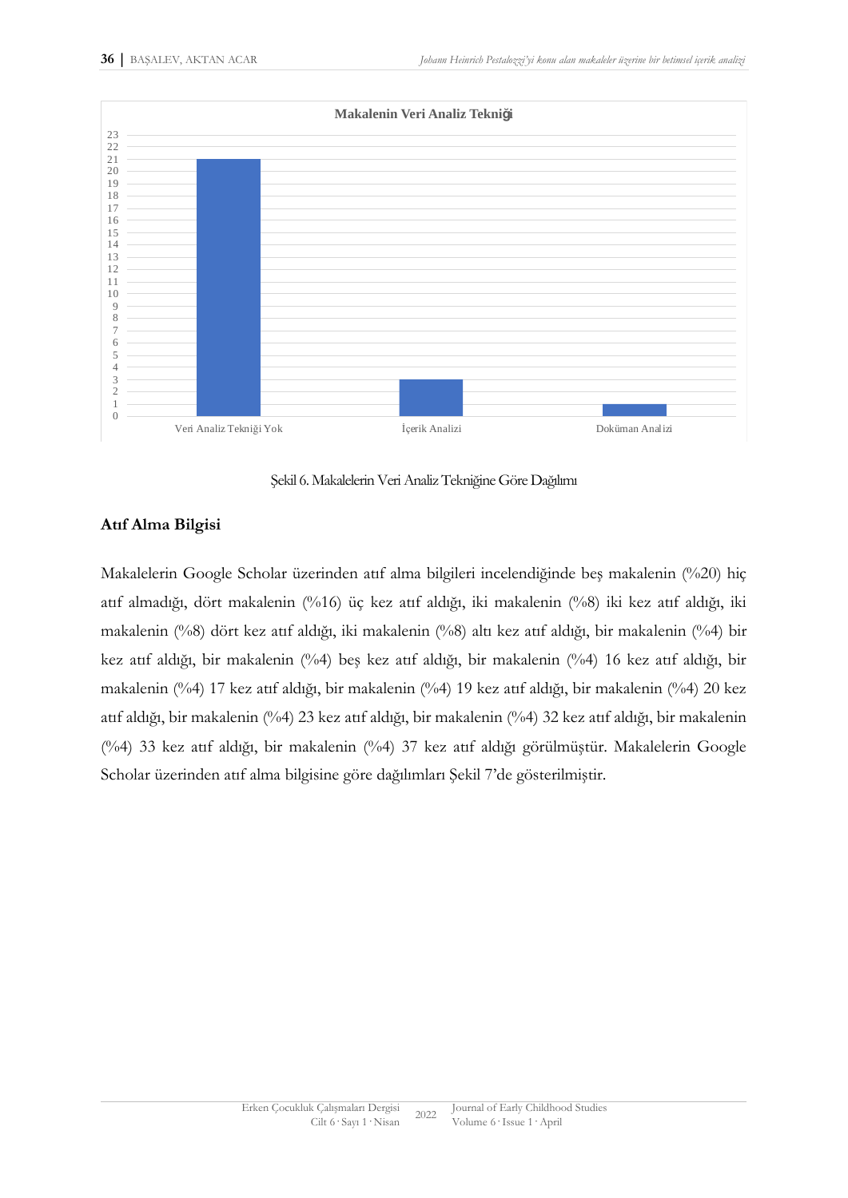

Şekil 6. Makalelerin Veri Analiz Tekniğine Göre Dağılımı

# **Atıf Alma Bilgisi**

Makalelerin Google Scholar üzerinden atıf alma bilgileri incelendiğinde beş makalenin (%20) hiç atıf almadığı, dört makalenin (%16) üç kez atıf aldığı, iki makalenin (%8) iki kez atıf aldığı, iki makalenin (%8) dört kez atıf aldığı, iki makalenin (%8) altı kez atıf aldığı, bir makalenin (%4) bir kez atıf aldığı, bir makalenin (%4) beş kez atıf aldığı, bir makalenin (%4) 16 kez atıf aldığı, bir makalenin (%4) 17 kez atıf aldığı, bir makalenin (%4) 19 kez atıf aldığı, bir makalenin (%4) 20 kez atıf aldığı, bir makalenin (%4) 23 kez atıf aldığı, bir makalenin (%4) 32 kez atıf aldığı, bir makalenin (%4) 33 kez atıf aldığı, bir makalenin (%4) 37 kez atıf aldığı görülmüştür. Makalelerin Google Scholar üzerinden atıf alma bilgisine göre dağılımları Şekil 7'de gösterilmiştir.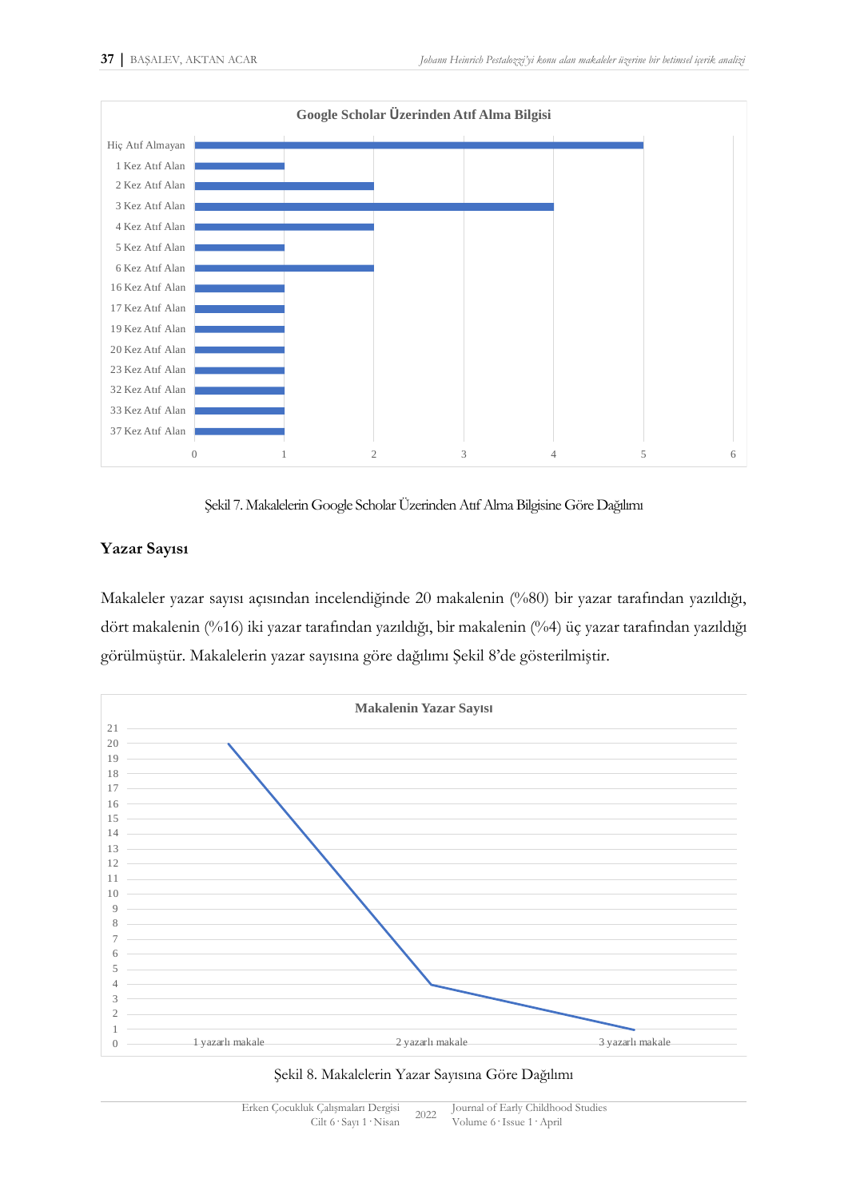

Şekil 7. Makalelerin Google Scholar Üzerinden Atıf Alma Bilgisine Göre Dağılımı

# **Yazar Sayısı**

Makaleler yazar sayısı açısından incelendiğinde 20 makalenin (%80) bir yazar tarafından yazıldığı, dört makalenin (%16) iki yazar tarafından yazıldığı, bir makalenin (%4) üç yazar tarafından yazıldığı görülmüştür. Makalelerin yazar sayısına göre dağılımı Şekil 8'de gösterilmiştir.



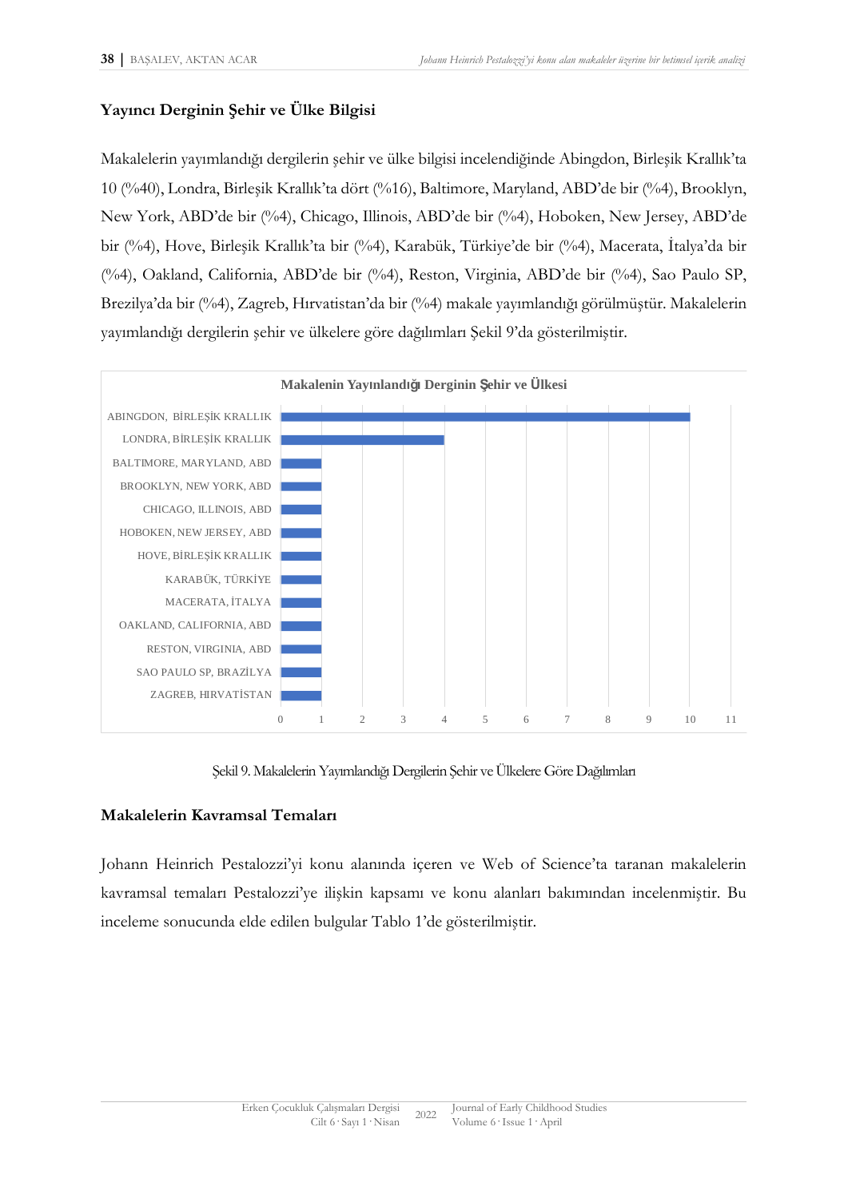# **Yayıncı Derginin Şehir ve Ülke Bilgisi**

Makalelerin yayımlandığı dergilerin şehir ve ülke bilgisi incelendiğinde Abingdon, Birleşik Krallık'ta 10 (%40), Londra, Birleşik Krallık'ta dört (%16), Baltimore, Maryland, ABD'de bir (%4), Brooklyn, New York, ABD'de bir (%4), Chicago, Illinois, ABD'de bir (%4), Hoboken, New Jersey, ABD'de bir (%4), Hove, Birleşik Krallık'ta bir (%4), Karabük, Türkiye'de bir (%4), Macerata, İtalya'da bir (%4), Oakland, California, ABD'de bir (%4), Reston, Virginia, ABD'de bir (%4), Sao Paulo SP, Brezilya'da bir (%4), Zagreb, Hırvatistan'da bir (%4) makale yayımlandığı görülmüştür. Makalelerin yayımlandığı dergilerin şehir ve ülkelere göre dağılımları Şekil 9'da gösterilmiştir.



Şekil 9. Makalelerin Yayımlandığı Dergilerin Şehir ve Ülkelere Göre Dağılımları

# **Makalelerin Kavramsal Temaları**

Johann Heinrich Pestalozzi'yi konu alanında içeren ve Web of Science'ta taranan makalelerin kavramsal temaları Pestalozzi'ye ilişkin kapsamı ve konu alanları bakımından incelenmiştir. Bu inceleme sonucunda elde edilen bulgular Tablo 1'de gösterilmiştir.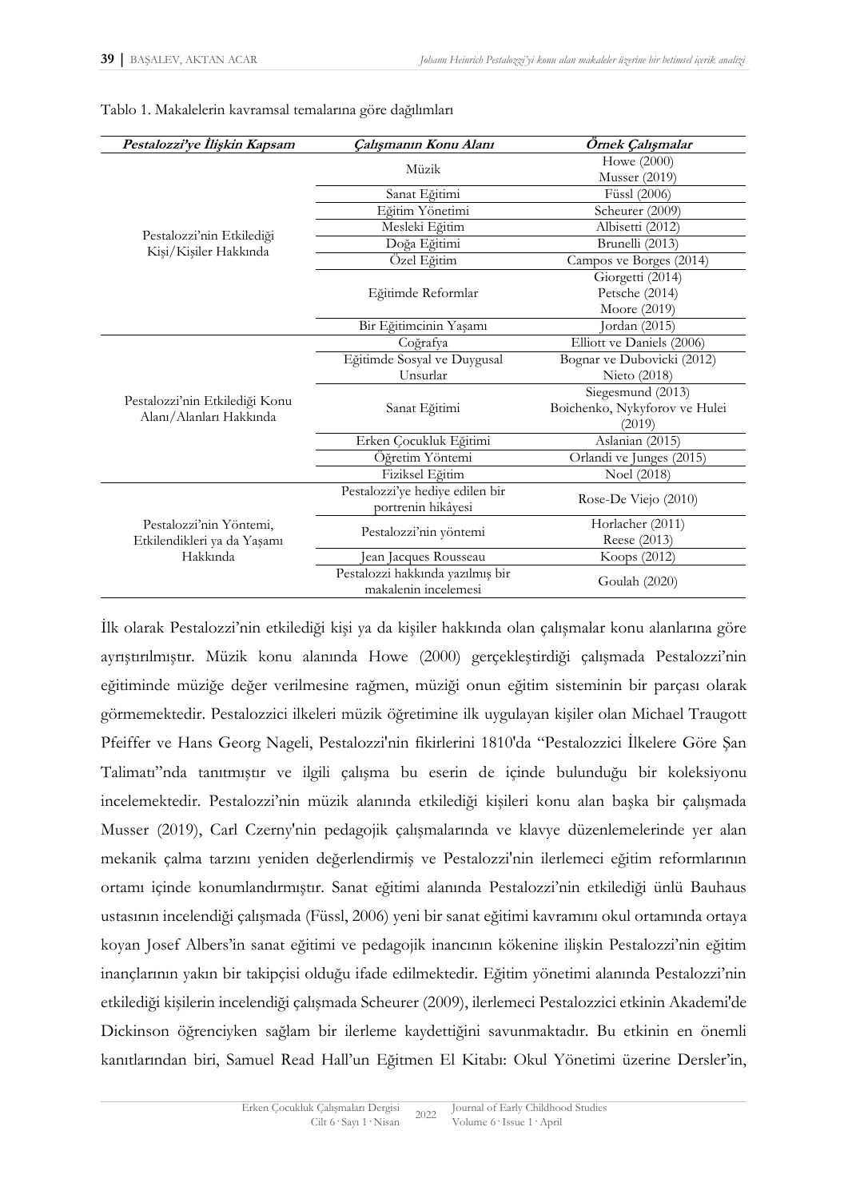| Pestalozzi'ye İlişkin Kapsam                                       | Çalışmanın Konu Alanı            | Örnek Çalışmalar              |
|--------------------------------------------------------------------|----------------------------------|-------------------------------|
| Pestalozzi'nin Etkilediği<br>Kişi/Kişiler Hakkında                 | Müzik                            | Howe (2000)                   |
|                                                                    |                                  | <b>Musser</b> (2019)          |
|                                                                    | Sanat Eğitimi                    | Füssl (2006)                  |
|                                                                    | Eğitim Yönetimi                  | Scheurer (2009)               |
|                                                                    | Mesleki Eğitim                   | Albisetti (2012)              |
|                                                                    | Doğa Eğitimi                     | Brunelli (2013)               |
|                                                                    | Özel Eğitim                      | Campos ve Borges (2014)       |
|                                                                    | Eğitimde Reformlar               | Giorgetti (2014)              |
|                                                                    |                                  | Petsche (2014)                |
|                                                                    |                                  | Moore (2019)                  |
|                                                                    | Bir Eğitimcinin Yaşamı           | Jordan (2015)                 |
| Pestalozzi'nin Etkilediği Konu<br>Alanı/Alanları Hakkında          | Coğrafya                         | Elliott ve Daniels (2006)     |
|                                                                    | Eğitimde Sosyal ve Duygusal      | Bognar ve Dubovicki (2012)    |
|                                                                    | Unsurlar                         | Nieto (2018)                  |
|                                                                    | Sanat Eğitimi                    | Siegesmund (2013)             |
|                                                                    |                                  | Boichenko, Nykyforov ve Hulei |
|                                                                    |                                  | (2019)                        |
|                                                                    | Erken Çocukluk Eğitimi           | Aslanian (2015)               |
|                                                                    | Öğretim Yöntemi                  | Orlandi ve Junges (2015)      |
|                                                                    | Fiziksel Eğitim                  | Noel (2018)                   |
| Pestalozzi'nin Yöntemi,<br>Etkilendikleri ya da Yaşamı<br>Hakkinda | Pestalozzi'ye hediye edilen bir  | Rose-De Viejo (2010)          |
|                                                                    | portrenin hikâyesi               |                               |
|                                                                    | Pestalozzi'nin yöntemi           | Horlacher (2011)              |
|                                                                    |                                  | Reese (2013)                  |
|                                                                    | Jean Jacques Rousseau            | Koops (2012)                  |
|                                                                    | Pestalozzi hakkında yazılmış bir | Goulah (2020)                 |
|                                                                    | makalenin incelemesi             |                               |

Tablo 1. Makalelerin kavramsal temalarına göre dağılımları

İlk olarak Pestalozzi'nin etkilediği kişi ya da kişiler hakkında olan çalışmalar konu alanlarına göre ayrıştırılmıştır. Müzik konu alanında Howe (2000) gerçekleştirdiği çalışmada Pestalozzi'nin eğitiminde müziğe değer verilmesine rağmen, müziği onun eğitim sisteminin bir parçası olarak görmemektedir. Pestalozzici ilkeleri müzik öğretimine ilk uygulayan kişiler olan Michael Traugott Pfeiffer ve Hans Georg Nageli, Pestalozzi'nin fikirlerini 1810'da "Pestalozzici İlkelere Göre Şan Talimatı"nda tanıtmıştır ve ilgili çalışma bu eserin de içinde bulunduğu bir koleksiyonu incelemektedir. Pestalozzi'nin müzik alanında etkilediği kişileri konu alan başka bir çalışmada Musser (2019), Carl Czerny'nin pedagojik çalışmalarında ve klavye düzenlemelerinde yer alan mekanik çalma tarzını yeniden değerlendirmiş ve Pestalozzi'nin ilerlemeci eğitim reformlarının ortamı içinde konumlandırmıştır. Sanat eğitimi alanında Pestalozzi'nin etkilediği ünlü Bauhaus ustasının incelendiği çalışmada (Füssl, 2006) yeni bir sanat eğitimi kavramını okul ortamında ortaya koyan Josef Albers'in sanat eğitimi ve pedagojik inancının kökenine ilişkin Pestalozzi'nin eğitim inançlarının yakın bir takipçisi olduğu ifade edilmektedir. Eğitim yönetimi alanında Pestalozzi'nin etkilediği kişilerin incelendiği çalışmada Scheurer (2009), ilerlemeci Pestalozzici etkinin Akademi'de Dickinson öğrenciyken sağlam bir ilerleme kaydettiğini savunmaktadır. Bu etkinin en önemli kanıtlarından biri, Samuel Read Hall'un Eğitmen El Kitabı: Okul Yönetimi üzerine Dersler'in,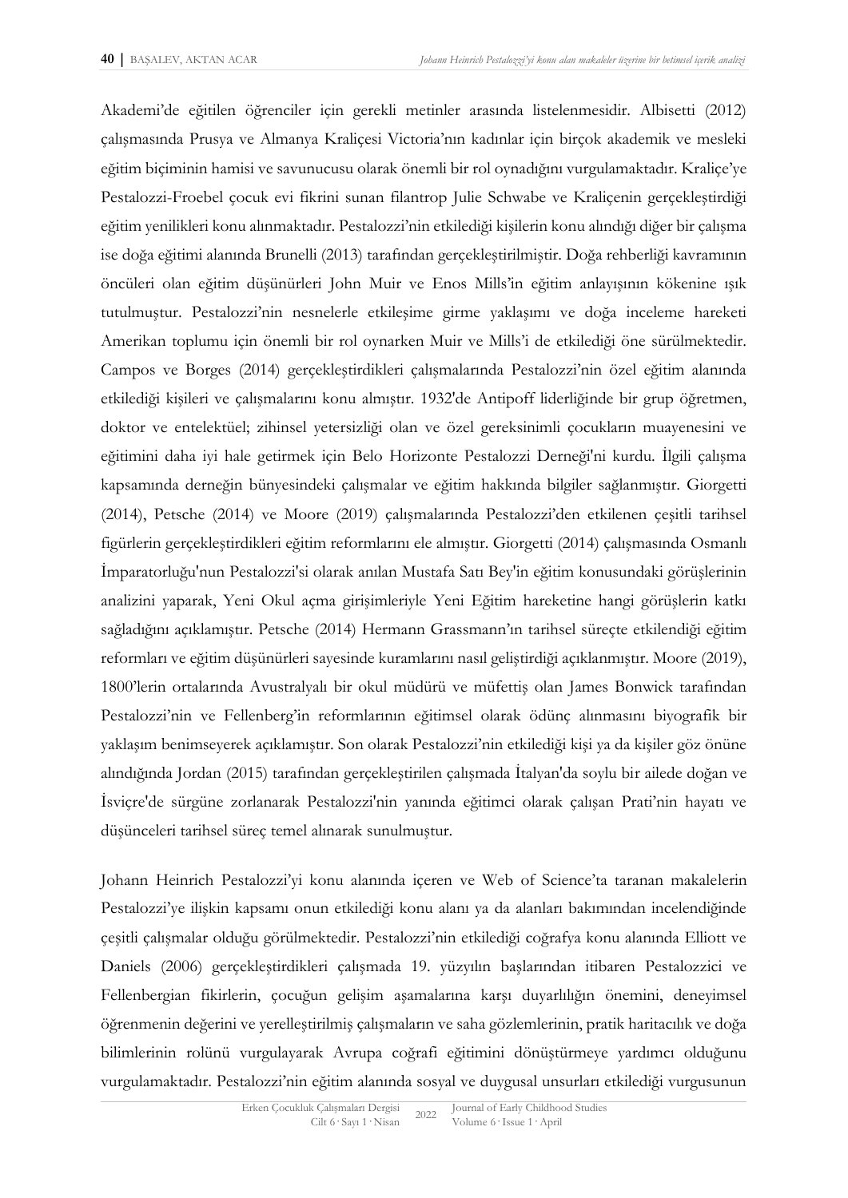Akademi'de eğitilen öğrenciler için gerekli metinler arasında listelenmesidir. Albisetti (2012) çalışmasında Prusya ve Almanya Kraliçesi Victoria'nın kadınlar için birçok akademik ve mesleki eğitim biçiminin hamisi ve savunucusu olarak önemli bir rol oynadığını vurgulamaktadır. Kraliçe'ye Pestalozzi-Froebel çocuk evi fikrini sunan filantrop Julie Schwabe ve Kraliçenin gerçekleştirdiği eğitim yenilikleri konu alınmaktadır. Pestalozzi'nin etkilediği kişilerin konu alındığı diğer bir çalışma ise doğa eğitimi alanında Brunelli (2013) tarafından gerçekleştirilmiştir. Doğa rehberliği kavramının öncüleri olan eğitim düşünürleri John Muir ve Enos Mills'in eğitim anlayışının kökenine ışık tutulmuştur. Pestalozzi'nin nesnelerle etkileşime girme yaklaşımı ve doğa inceleme hareketi Amerikan toplumu için önemli bir rol oynarken Muir ve Mills'i de etkilediği öne sürülmektedir. Campos ve Borges (2014) gerçekleştirdikleri çalışmalarında Pestalozzi'nin özel eğitim alanında etkilediği kişileri ve çalışmalarını konu almıştır. 1932'de Antipoff liderliğinde bir grup öğretmen, doktor ve entelektüel; zihinsel yetersizliği olan ve özel gereksinimli çocukların muayenesini ve eğitimini daha iyi hale getirmek için Belo Horizonte Pestalozzi Derneği'ni kurdu. İlgili çalışma kapsamında derneğin bünyesindeki çalışmalar ve eğitim hakkında bilgiler sağlanmıştır. Giorgetti (2014), Petsche (2014) ve Moore (2019) çalışmalarında Pestalozzi'den etkilenen çeşitli tarihsel figürlerin gerçekleştirdikleri eğitim reformlarını ele almıştır. Giorgetti (2014) çalışmasında Osmanlı İmparatorluğu'nun Pestalozzi'si olarak anılan Mustafa Satı Bey'in eğitim konusundaki görüşlerinin analizini yaparak, Yeni Okul açma girişimleriyle Yeni Eğitim hareketine hangi görüşlerin katkı sağladığını açıklamıştır. Petsche (2014) Hermann Grassmann'ın tarihsel süreçte etkilendiği eğitim reformları ve eğitim düşünürleri sayesinde kuramlarını nasıl geliştirdiği açıklanmıştır. Moore (2019), 1800'lerin ortalarında Avustralyalı bir okul müdürü ve müfettiş olan James Bonwick tarafından Pestalozzi'nin ve Fellenberg'in reformlarının eğitimsel olarak ödünç alınmasını biyografik bir yaklaşım benimseyerek açıklamıştır. Son olarak Pestalozzi'nin etkilediği kişi ya da kişiler göz önüne alındığında Jordan (2015) tarafından gerçekleştirilen çalışmada İtalyan'da soylu bir ailede doğan ve İsviçre'de sürgüne zorlanarak Pestalozzi'nin yanında eğitimci olarak çalışan Prati'nin hayatı ve düşünceleri tarihsel süreç temel alınarak sunulmuştur.

Johann Heinrich Pestalozzi'yi konu alanında içeren ve Web of Science'ta taranan makalelerin Pestalozzi'ye ilişkin kapsamı onun etkilediği konu alanı ya da alanları bakımından incelendiğinde çeşitli çalışmalar olduğu görülmektedir. Pestalozzi'nin etkilediği coğrafya konu alanında Elliott ve Daniels (2006) gerçekleştirdikleri çalışmada 19. yüzyılın başlarından itibaren Pestalozzici ve Fellenbergian fikirlerin, çocuğun gelişim aşamalarına karşı duyarlılığın önemini, deneyimsel öğrenmenin değerini ve yerelleştirilmiş çalışmaların ve saha gözlemlerinin, pratik haritacılık ve doğa bilimlerinin rolünü vurgulayarak Avrupa coğrafi eğitimini dönüştürmeye yardımcı olduğunu vurgulamaktadır. Pestalozzi'nin eğitim alanında sosyal ve duygusal unsurları etkilediği vurgusunun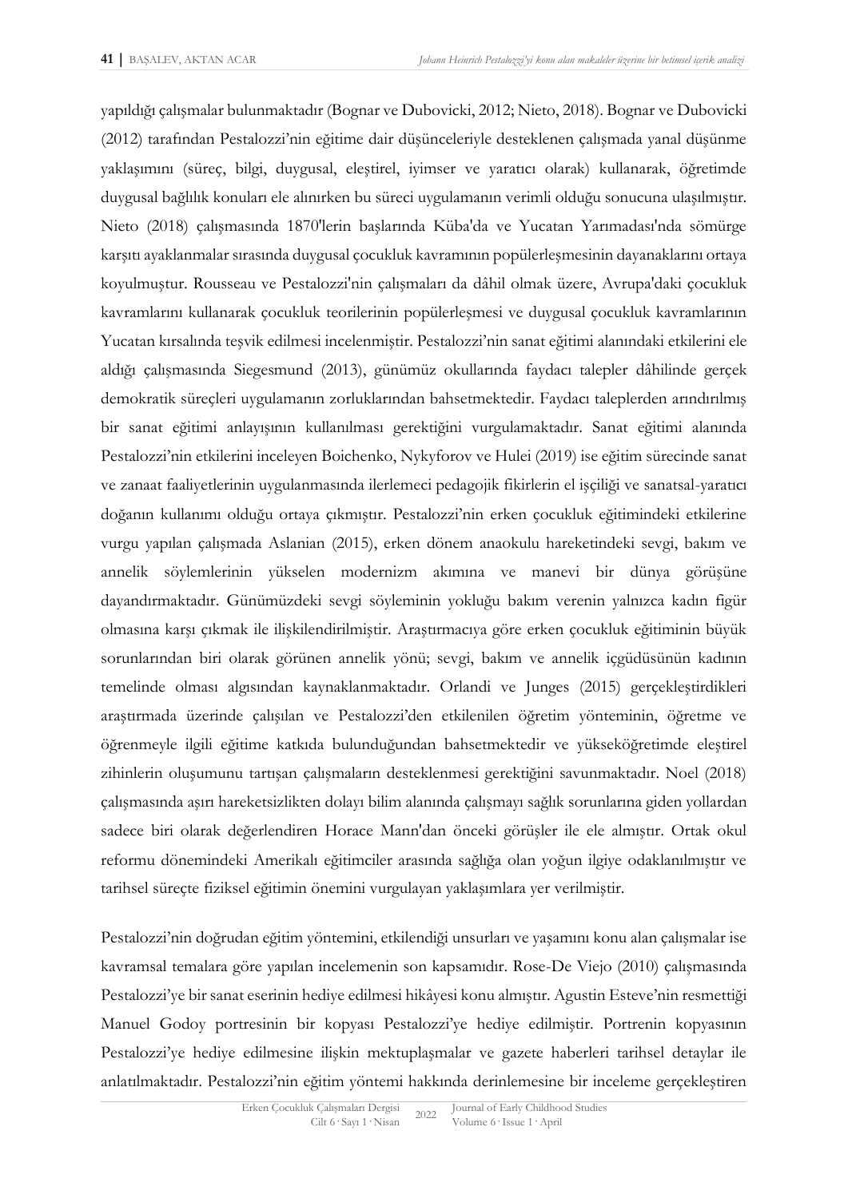yapıldığı çalışmalar bulunmaktadır (Bognar ve Dubovicki, 2012; Nieto, 2018). Bognar ve Dubovicki (2012) tarafından Pestalozzi'nin eğitime dair düşünceleriyle desteklenen çalışmada yanal düşünme yaklaşımını (süreç, bilgi, duygusal, eleştirel, iyimser ve yaratıcı olarak) kullanarak, öğretimde duygusal bağlılık konuları ele alınırken bu süreci uygulamanın verimli olduğu sonucuna ulaşılmıştır. Nieto (2018) çalışmasında 1870'lerin başlarında Küba'da ve Yucatan Yarımadası'nda sömürge karşıtı ayaklanmalar sırasında duygusal çocukluk kavramının popülerleşmesinin dayanaklarını ortaya koyulmuştur. Rousseau ve Pestalozzi'nin çalışmaları da dâhil olmak üzere, Avrupa'daki çocukluk kavramlarını kullanarak çocukluk teorilerinin popülerleşmesi ve duygusal çocukluk kavramlarının Yucatan kırsalında teşvik edilmesi incelenmiştir. Pestalozzi'nin sanat eğitimi alanındaki etkilerini ele aldığı çalışmasında Siegesmund (2013), günümüz okullarında faydacı talepler dâhilinde gerçek demokratik süreçleri uygulamanın zorluklarından bahsetmektedir. Faydacı taleplerden arındırılmış bir sanat eğitimi anlayışının kullanılması gerektiğini vurgulamaktadır. Sanat eğitimi alanında Pestalozzi'nin etkilerini inceleyen Boichenko, Nykyforov ve Hulei (2019) ise eğitim sürecinde sanat ve zanaat faaliyetlerinin uygulanmasında ilerlemeci pedagojik fikirlerin el işçiliği ve sanatsal-yaratıcı doğanın kullanımı olduğu ortaya çıkmıştır. Pestalozzi'nin erken çocukluk eğitimindeki etkilerine vurgu yapılan çalışmada Aslanian (2015), erken dönem anaokulu hareketindeki sevgi, bakım ve annelik söylemlerinin yükselen modernizm akımına ve manevi bir dünya görüşüne dayandırmaktadır. Günümüzdeki sevgi söyleminin yokluğu bakım verenin yalnızca kadın figür olmasına karşı çıkmak ile ilişkilendirilmiştir. Araştırmacıya göre erken çocukluk eğitiminin büyük sorunlarından biri olarak görünen annelik yönü; sevgi, bakım ve annelik içgüdüsünün kadının temelinde olması algısından kaynaklanmaktadır. Orlandi ve Junges (2015) gerçekleştirdikleri araştırmada üzerinde çalışılan ve Pestalozzi'den etkilenilen öğretim yönteminin, öğretme ve öğrenmeyle ilgili eğitime katkıda bulunduğundan bahsetmektedir ve yükseköğretimde eleştirel zihinlerin oluşumunu tartışan çalışmaların desteklenmesi gerektiğini savunmaktadır. Noel (2018) çalışmasında aşırı hareketsizlikten dolayı bilim alanında çalışmayı sağlık sorunlarına giden yollardan sadece biri olarak değerlendiren Horace Mann'dan önceki görüşler ile ele almıştır. Ortak okul reformu dönemindeki Amerikalı eğitimciler arasında sağlığa olan yoğun ilgiye odaklanılmıştır ve tarihsel süreçte fiziksel eğitimin önemini vurgulayan yaklaşımlara yer verilmiştir.

Pestalozzi'nin doğrudan eğitim yöntemini, etkilendiği unsurları ve yaşamını konu alan çalışmalar ise kavramsal temalara göre yapılan incelemenin son kapsamıdır. Rose-De Viejo (2010) çalışmasında Pestalozzi'ye bir sanat eserinin hediye edilmesi hikâyesi konu almıştır. Agustin Esteve'nin resmettiği Manuel Godoy portresinin bir kopyası Pestalozzi'ye hediye edilmiştir. Portrenin kopyasının Pestalozzi'ye hediye edilmesine ilişkin mektuplaşmalar ve gazete haberleri tarihsel detaylar ile anlatılmaktadır. Pestalozzi'nin eğitim yöntemi hakkında derinlemesine bir inceleme gerçekleştiren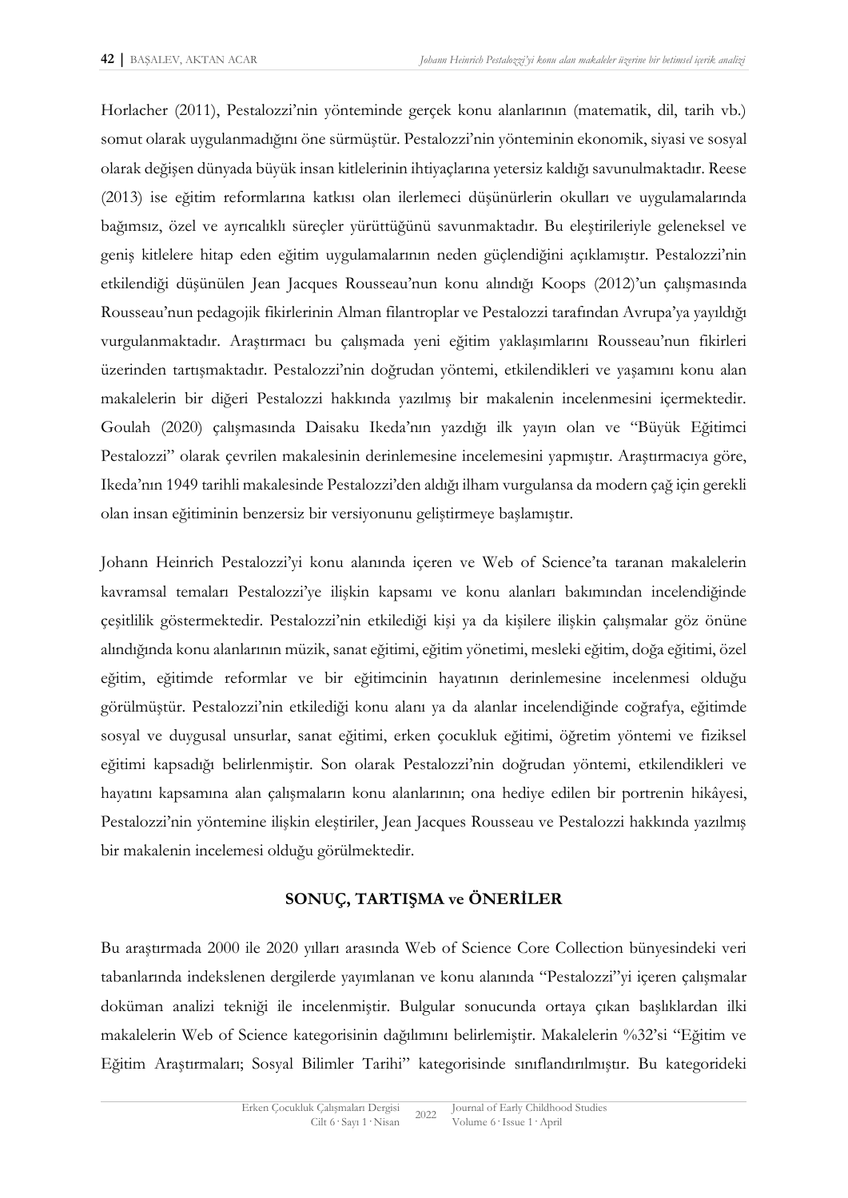Horlacher (2011), Pestalozzi'nin yönteminde gerçek konu alanlarının (matematik, dil, tarih vb.) somut olarak uygulanmadığını öne sürmüştür. Pestalozzi'nin yönteminin ekonomik, siyasi ve sosyal olarak değişen dünyada büyük insan kitlelerinin ihtiyaçlarına yetersiz kaldığı savunulmaktadır. Reese (2013) ise eğitim reformlarına katkısı olan ilerlemeci düşünürlerin okulları ve uygulamalarında bağımsız, özel ve ayrıcalıklı süreçler yürüttüğünü savunmaktadır. Bu eleştirileriyle geleneksel ve geniş kitlelere hitap eden eğitim uygulamalarının neden güçlendiğini açıklamıştır. Pestalozzi'nin etkilendiği düşünülen Jean Jacques Rousseau'nun konu alındığı Koops (2012)'un çalışmasında Rousseau'nun pedagojik fikirlerinin Alman filantroplar ve Pestalozzi tarafından Avrupa'ya yayıldığı vurgulanmaktadır. Araştırmacı bu çalışmada yeni eğitim yaklaşımlarını Rousseau'nun fikirleri üzerinden tartışmaktadır. Pestalozzi'nin doğrudan yöntemi, etkilendikleri ve yaşamını konu alan makalelerin bir diğeri Pestalozzi hakkında yazılmış bir makalenin incelenmesini içermektedir. Goulah (2020) çalışmasında Daisaku Ikeda'nın yazdığı ilk yayın olan ve "Büyük Eğitimci Pestalozzi" olarak çevrilen makalesinin derinlemesine incelemesini yapmıştır. Araştırmacıya göre, Ikeda'nın 1949 tarihli makalesinde Pestalozzi'den aldığı ilham vurgulansa da modern çağ için gerekli olan insan eğitiminin benzersiz bir versiyonunu geliştirmeye başlamıştır.

Johann Heinrich Pestalozzi'yi konu alanında içeren ve Web of Science'ta taranan makalelerin kavramsal temaları Pestalozzi'ye ilişkin kapsamı ve konu alanları bakımından incelendiğinde çeşitlilik göstermektedir. Pestalozzi'nin etkilediği kişi ya da kişilere ilişkin çalışmalar göz önüne alındığında konu alanlarının müzik, sanat eğitimi, eğitim yönetimi, mesleki eğitim, doğa eğitimi, özel eğitim, eğitimde reformlar ve bir eğitimcinin hayatının derinlemesine incelenmesi olduğu görülmüştür. Pestalozzi'nin etkilediği konu alanı ya da alanlar incelendiğinde coğrafya, eğitimde sosyal ve duygusal unsurlar, sanat eğitimi, erken çocukluk eğitimi, öğretim yöntemi ve fiziksel eğitimi kapsadığı belirlenmiştir. Son olarak Pestalozzi'nin doğrudan yöntemi, etkilendikleri ve hayatını kapsamına alan çalışmaların konu alanlarının; ona hediye edilen bir portrenin hikâyesi, Pestalozzi'nin yöntemine ilişkin eleştiriler, Jean Jacques Rousseau ve Pestalozzi hakkında yazılmış bir makalenin incelemesi olduğu görülmektedir.

# **SONUÇ, TARTIŞMA ve ÖNERİLER**

Bu araştırmada 2000 ile 2020 yılları arasında Web of Science Core Collection bünyesindeki veri tabanlarında indekslenen dergilerde yayımlanan ve konu alanında "Pestalozzi"yi içeren çalışmalar doküman analizi tekniği ile incelenmiştir. Bulgular sonucunda ortaya çıkan başlıklardan ilki makalelerin Web of Science kategorisinin dağılımını belirlemiştir. Makalelerin %32'si "Eğitim ve Eğitim Araştırmaları; Sosyal Bilimler Tarihi" kategorisinde sınıflandırılmıştır. Bu kategorideki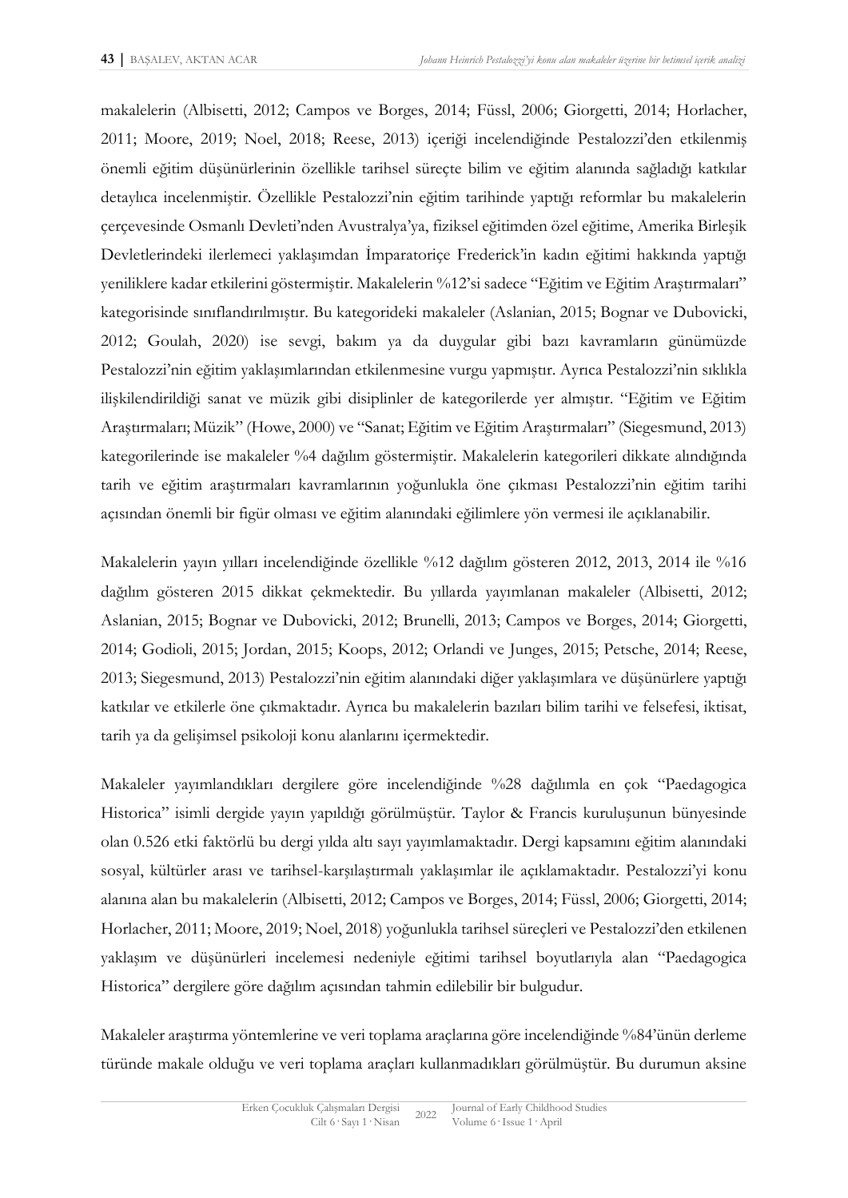makalelerin (Albisetti, 2012; Campos ve Borges, 2014; Füssl, 2006; Giorgetti, 2014; Horlacher, 2011; Moore, 2019; Noel, 2018; Reese, 2013) içeriği incelendiğinde Pestalozzi'den etkilenmiş önemli eğitim düşünürlerinin özellikle tarihsel süreçte bilim ve eğitim alanında sağladığı katkılar detaylıca incelenmiştir. Özellikle Pestalozzi'nin eğitim tarihinde yaptığı reformlar bu makalelerin çerçevesinde Osmanlı Devleti'nden Avustralya'ya, fiziksel eğitimden özel eğitime, Amerika Birleşik Devletlerindeki ilerlemeci yaklaşımdan İmparatoriçe Frederick'in kadın eğitimi hakkında yaptığı yeniliklere kadar etkilerini göstermiştir. Makalelerin %12'si sadece "Eğitim ve Eğitim Araştırmaları" kategorisinde sınıflandırılmıştır. Bu kategorideki makaleler (Aslanian, 2015; Bognar ve Dubovicki, 2012; Goulah, 2020) ise sevgi, bakım ya da duygular gibi bazı kavramların günümüzde Pestalozzi'nin eğitim yaklaşımlarından etkilenmesine vurgu yapmıştır. Ayrıca Pestalozzi'nin sıklıkla ilişkilendirildiği sanat ve müzik gibi disiplinler de kategorilerde yer almıştır. "Eğitim ve Eğitim Araştırmaları; Müzik" (Howe, 2000) ve "Sanat; Eğitim ve Eğitim Araştırmaları" (Siegesmund, 2013) kategorilerinde ise makaleler %4 dağılım göstermiştir. Makalelerin kategorileri dikkate alındığında tarih ve eğitim araştırmaları kavramlarının yoğunlukla öne çıkması Pestalozzi'nin eğitim tarihi açısından önemli bir figür olması ve eğitim alanındaki eğilimlere yön vermesi ile açıklanabilir.

Makalelerin yayın yılları incelendiğinde özellikle %12 dağılım gösteren 2012, 2013, 2014 ile %16 dağılım gösteren 2015 dikkat çekmektedir. Bu yıllarda yayımlanan makaleler (Albisetti, 2012; Aslanian, 2015; Bognar ve Dubovicki, 2012; Brunelli, 2013; Campos ve Borges, 2014; Giorgetti, 2014; Godioli, 2015; Jordan, 2015; Koops, 2012; Orlandi ve Junges, 2015; Petsche, 2014; Reese, 2013; Siegesmund, 2013) Pestalozzi'nin eğitim alanındaki diğer yaklaşımlara ve düşünürlere yaptığı katkılar ve etkilerle öne çıkmaktadır. Ayrıca bu makalelerin bazıları bilim tarihi ve felsefesi, iktisat, tarih ya da gelişimsel psikoloji konu alanlarını içermektedir.

Makaleler yayımlandıkları dergilere göre incelendiğinde %28 dağılımla en çok "Paedagogica Historica" isimli dergide yayın yapıldığı görülmüştür. Taylor & Francis kuruluşunun bünyesinde olan 0.526 etki faktörlü bu dergi yılda altı sayı yayımlamaktadır. Dergi kapsamını eğitim alanındaki sosyal, kültürler arası ve tarihsel-karşılaştırmalı yaklaşımlar ile açıklamaktadır. Pestalozzi'yi konu alanına alan bu makalelerin (Albisetti, 2012; Campos ve Borges, 2014; Füssl, 2006; Giorgetti, 2014; Horlacher, 2011; Moore, 2019; Noel, 2018) yoğunlukla tarihsel süreçleri ve Pestalozzi'den etkilenen yaklaşım ve düşünürleri incelemesi nedeniyle eğitimi tarihsel boyutlarıyla alan "Paedagogica Historica" dergilere göre dağılım açısından tahmin edilebilir bir bulgudur.

Makaleler araştırma yöntemlerine ve veri toplama araçlarına göre incelendiğinde %84'ünün derleme türünde makale olduğu ve veri toplama araçları kullanmadıkları görülmüştür. Bu durumun aksine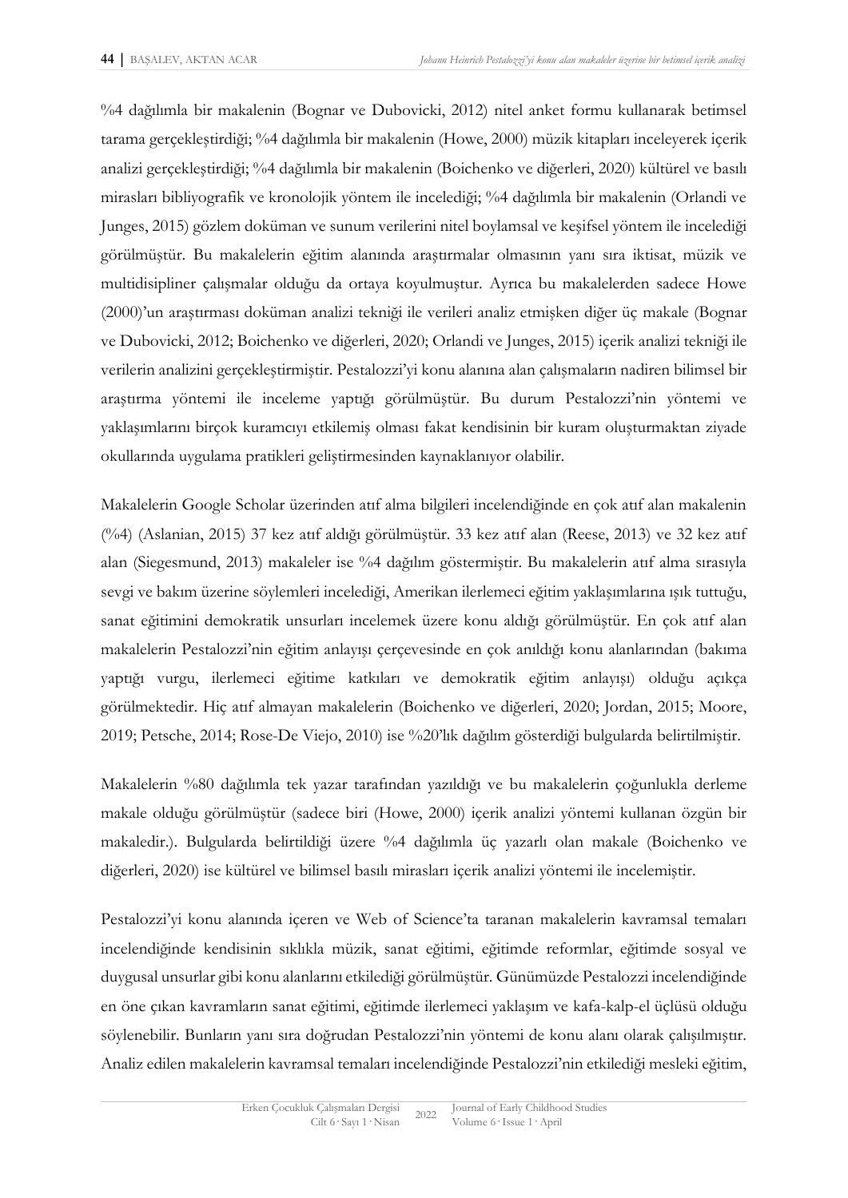%4 dağılımla bir makalenin (Bognar ve Dubovicki, 2012) nitel anket formu kullanarak betimsel tarama gerçekleştirdiği; %4 dağılımla bir makalenin (Howe, 2000) müzik kitapları inceleyerek içerik analizi gerçekleştirdiği; %4 dağılımla bir makalenin (Boichenko ve diğerleri, 2020) kültürel ve basılı mirasları bibliyografik ve kronolojik yöntem ile incelediği; %4 dağılımla bir makalenin (Orlandi ve Junges, 2015) gözlem doküman ve sunum verilerini nitel boylamsal ve keşifsel yöntem ile incelediği görülmüştür. Bu makalelerin eğitim alanında araştırmalar olmasının yanı sıra iktisat, müzik ve multidisipliner çalışmalar olduğu da ortaya koyulmuştur. Ayrıca bu makalelerden sadece Howe (2000)'un araştırması doküman analizi tekniği ile verileri analiz etmişken diğer üç makale (Bognar ve Dubovicki, 2012; Boichenko ve diğerleri, 2020; Orlandi ve Junges, 2015) içerik analizi tekniği ile verilerin analizini gerçekleştirmiştir. Pestalozzi'yi konu alanına alan çalışmaların nadiren bilimsel bir araştırma yöntemi ile inceleme yaptığı görülmüştür. Bu durum Pestalozzi'nin yöntemi ve yaklaşımlarını birçok kuramcıyı etkilemiş olması fakat kendisinin bir kuram oluşturmaktan ziyade okullarında uygulama pratikleri geliştirmesinden kaynaklanıyor olabilir.

Makalelerin Google Scholar üzerinden atıf alma bilgileri incelendiğinde en çok atıf alan makalenin (%4) (Aslanian, 2015) 37 kez atıf aldığı görülmüştür. 33 kez atıf alan (Reese, 2013) ve 32 kez atıf alan (Siegesmund, 2013) makaleler ise %4 dağılım göstermiştir. Bu makalelerin atıf alma sırasıyla sevgi ve bakım üzerine söylemleri incelediği, Amerikan ilerlemeci eğitim yaklaşımlarına ışık tuttuğu, sanat eğitimini demokratik unsurları incelemek üzere konu aldığı görülmüştür. En çok atıf alan makalelerin Pestalozzi'nin eğitim anlayışı çerçevesinde en çok anıldığı konu alanlarından (bakıma yaptığı vurgu, ilerlemeci eğitime katkıları ve demokratik eğitim anlayışı) olduğu açıkça görülmektedir. Hiç atıf almayan makalelerin (Boichenko ve diğerleri, 2020; Jordan, 2015; Moore, 2019; Petsche, 2014; Rose-De Viejo, 2010) ise %20'lık dağılım gösterdiği bulgularda belirtilmiştir.

Makalelerin %80 dağılımla tek yazar tarafından yazıldığı ve bu makalelerin çoğunlukla derleme makale olduğu görülmüştür (sadece biri (Howe, 2000) içerik analizi yöntemi kullanan özgün bir makaledir.). Bulgularda belirtildiği üzere %4 dağılımla üç yazarlı olan makale (Boichenko ve diğerleri, 2020) ise kültürel ve bilimsel basılı mirasları içerik analizi yöntemi ile incelemiştir.

Pestalozzi'yi konu alanında içeren ve Web of Science'ta taranan makalelerin kavramsal temaları incelendiğinde kendisinin sıklıkla müzik, sanat eğitimi, eğitimde reformlar, eğitimde sosyal ve duygusal unsurlar gibi konu alanlarını etkilediği görülmüştür. Günümüzde Pestalozzi incelendiğinde en öne çıkan kavramların sanat eğitimi, eğitimde ilerlemeci yaklaşım ve kafa-kalp-el üçlüsü olduğu söylenebilir. Bunların yanı sıra doğrudan Pestalozzi'nin yöntemi de konu alanı olarak çalışılmıştır. Analiz edilen makalelerin kavramsal temaları incelendiğinde Pestalozzi'nin etkilediği mesleki eğitim,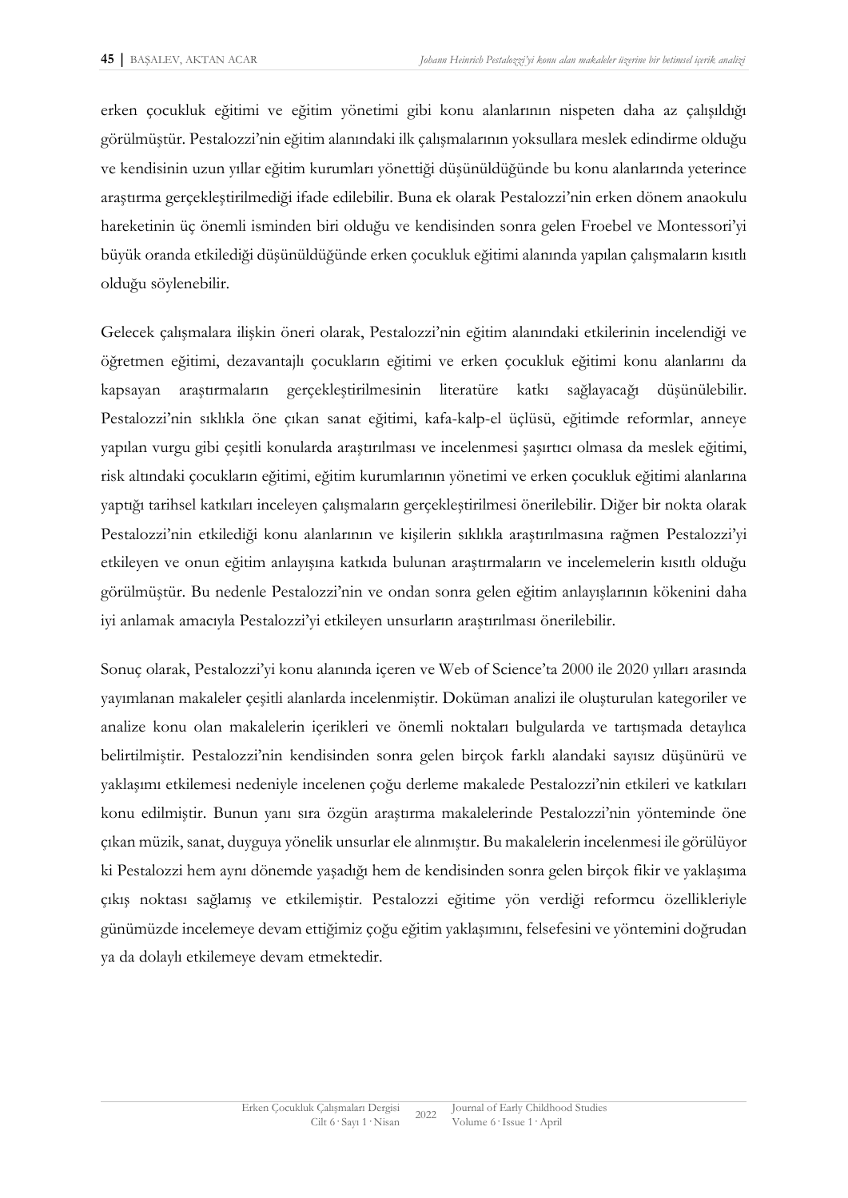erken çocukluk eğitimi ve eğitim yönetimi gibi konu alanlarının nispeten daha az çalışıldığı görülmüştür. Pestalozzi'nin eğitim alanındaki ilk çalışmalarının yoksullara meslek edindirme olduğu ve kendisinin uzun yıllar eğitim kurumları yönettiği düşünüldüğünde bu konu alanlarında yeterince araştırma gerçekleştirilmediği ifade edilebilir. Buna ek olarak Pestalozzi'nin erken dönem anaokulu hareketinin üç önemli isminden biri olduğu ve kendisinden sonra gelen Froebel ve Montessori'yi büyük oranda etkilediği düşünüldüğünde erken çocukluk eğitimi alanında yapılan çalışmaların kısıtlı olduğu söylenebilir.

Gelecek çalışmalara ilişkin öneri olarak, Pestalozzi'nin eğitim alanındaki etkilerinin incelendiği ve öğretmen eğitimi, dezavantajlı çocukların eğitimi ve erken çocukluk eğitimi konu alanlarını da kapsayan araştırmaların gerçekleştirilmesinin literatüre katkı sağlayacağı düşünülebilir. Pestalozzi'nin sıklıkla öne çıkan sanat eğitimi, kafa-kalp-el üçlüsü, eğitimde reformlar, anneye yapılan vurgu gibi çeşitli konularda araştırılması ve incelenmesi şaşırtıcı olmasa da meslek eğitimi, risk altındaki çocukların eğitimi, eğitim kurumlarının yönetimi ve erken çocukluk eğitimi alanlarına yaptığı tarihsel katkıları inceleyen çalışmaların gerçekleştirilmesi önerilebilir. Diğer bir nokta olarak Pestalozzi'nin etkilediği konu alanlarının ve kişilerin sıklıkla araştırılmasına rağmen Pestalozzi'yi etkileyen ve onun eğitim anlayışına katkıda bulunan araştırmaların ve incelemelerin kısıtlı olduğu görülmüştür. Bu nedenle Pestalozzi'nin ve ondan sonra gelen eğitim anlayışlarının kökenini daha iyi anlamak amacıyla Pestalozzi'yi etkileyen unsurların araştırılması önerilebilir.

Sonuç olarak, Pestalozzi'yi konu alanında içeren ve Web of Science'ta 2000 ile 2020 yılları arasında yayımlanan makaleler çeşitli alanlarda incelenmiştir. Doküman analizi ile oluşturulan kategoriler ve analize konu olan makalelerin içerikleri ve önemli noktaları bulgularda ve tartışmada detaylıca belirtilmiştir. Pestalozzi'nin kendisinden sonra gelen birçok farklı alandaki sayısız düşünürü ve yaklaşımı etkilemesi nedeniyle incelenen çoğu derleme makalede Pestalozzi'nin etkileri ve katkıları konu edilmiştir. Bunun yanı sıra özgün araştırma makalelerinde Pestalozzi'nin yönteminde öne çıkan müzik, sanat, duyguya yönelik unsurlar ele alınmıştır. Bu makalelerin incelenmesi ile görülüyor ki Pestalozzi hem aynı dönemde yaşadığı hem de kendisinden sonra gelen birçok fikir ve yaklaşıma çıkış noktası sağlamış ve etkilemiştir. Pestalozzi eğitime yön verdiği reformcu özellikleriyle günümüzde incelemeye devam ettiğimiz çoğu eğitim yaklaşımını, felsefesini ve yöntemini doğrudan ya da dolaylı etkilemeye devam etmektedir.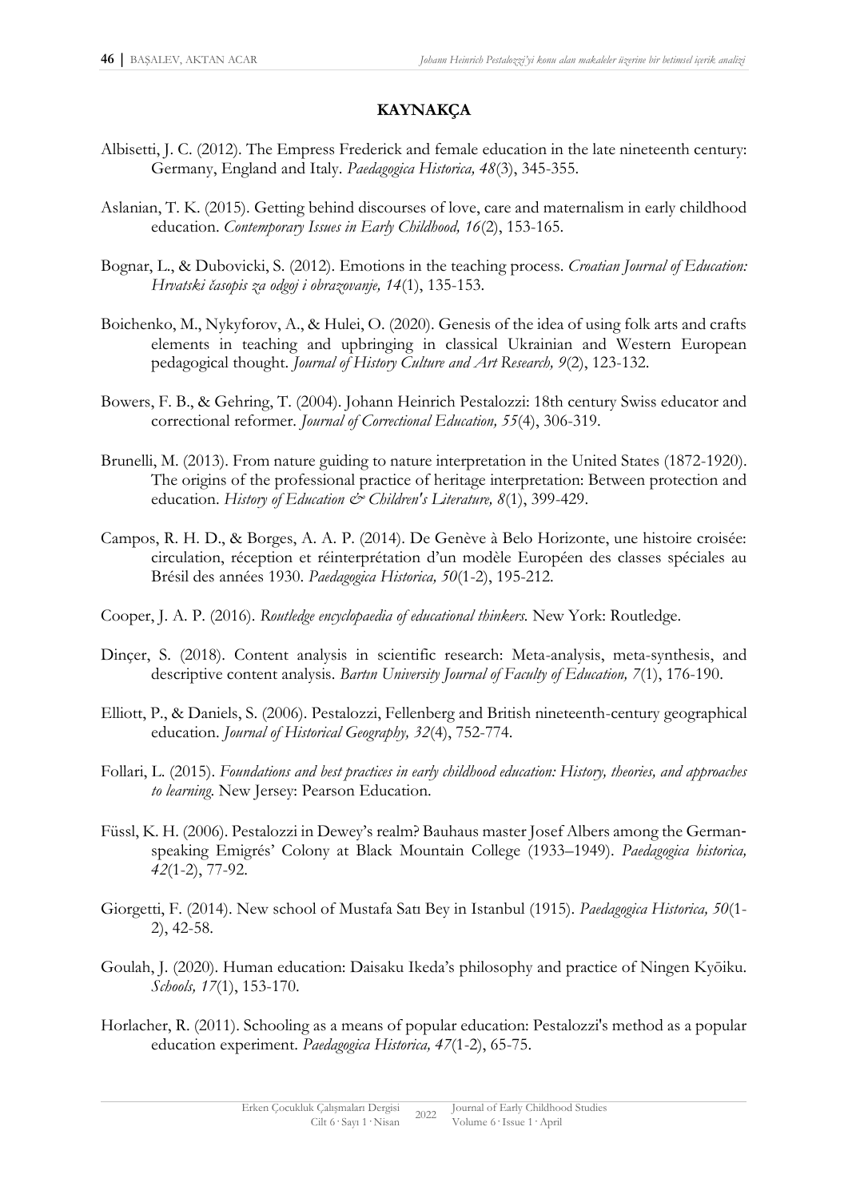### **KAYNAKÇA**

- Albisetti, J. C. (2012). The Empress Frederick and female education in the late nineteenth century: Germany, England and Italy. *Paedagogica Historica, 48*(3), 345-355.
- Aslanian, T. K. (2015). Getting behind discourses of love, care and maternalism in early childhood education. *Contemporary Issues in Early Childhood, 16*(2), 153-165.
- Bognar, L., & Dubovicki, S. (2012). Emotions in the teaching process. *Croatian Journal of Education: Hrvatski časopis za odgoj i obrazovanje, 14*(1), 135-153.
- Boichenko, M., Nykyforov, A., & Hulei, O. (2020). Genesis of the idea of using folk arts and crafts elements in teaching and upbringing in classical Ukrainian and Western European pedagogical thought. *Journal of History Culture and Art Research, 9*(2), 123-132.
- Bowers, F. B., & Gehring, T. (2004). Johann Heinrich Pestalozzi: 18th century Swiss educator and correctional reformer. *Journal of Correctional Education, 55*(4), 306-319.
- Brunelli, M. (2013). From nature guiding to nature interpretation in the United States (1872-1920). The origins of the professional practice of heritage interpretation: Between protection and education. *History of Education & Children's Literature*, 8(1), 399-429.
- Campos, R. H. D., & Borges, A. A. P. (2014). De Genève à Belo Horizonte, une histoire croisée: circulation, réception et réinterprétation d'un modèle Européen des classes spéciales au Brésil des années 1930. *Paedagogica Historica, 50*(1-2), 195-212.
- Cooper, J. A. P. (2016). *Routledge encyclopaedia of educational thinkers.* New York: Routledge.
- Dinçer, S. (2018). Content analysis in scientific research: Meta-analysis, meta-synthesis, and descriptive content analysis. *Bartın University Journal of Faculty of Education, 7*(1), 176-190.
- Elliott, P., & Daniels, S. (2006). Pestalozzi, Fellenberg and British nineteenth-century geographical education. *Journal of Historical Geography, 32*(4), 752-774.
- Follari, L. (2015). *Foundations and best practices in early childhood education: History, theories, and approaches to learning*. New Jersey: Pearson Education.
- Füssl, K. H. (2006). Pestalozzi in Dewey's realm? Bauhaus master Josef Albers among the German‐ speaking Emigrés' Colony at Black Mountain College (1933–1949). *Paedagogica historica, 42*(1-2), 77-92.
- Giorgetti, F. (2014). New school of Mustafa Satı Bey in Istanbul (1915). *Paedagogica Historica, 50*(1- 2), 42-58.
- Goulah, J. (2020). Human education: Daisaku Ikeda's philosophy and practice of Ningen Kyōiku. *Schools, 17*(1), 153-170.
- Horlacher, R. (2011). Schooling as a means of popular education: Pestalozzi's method as a popular education experiment. *Paedagogica Historica, 47*(1-2), 65-75.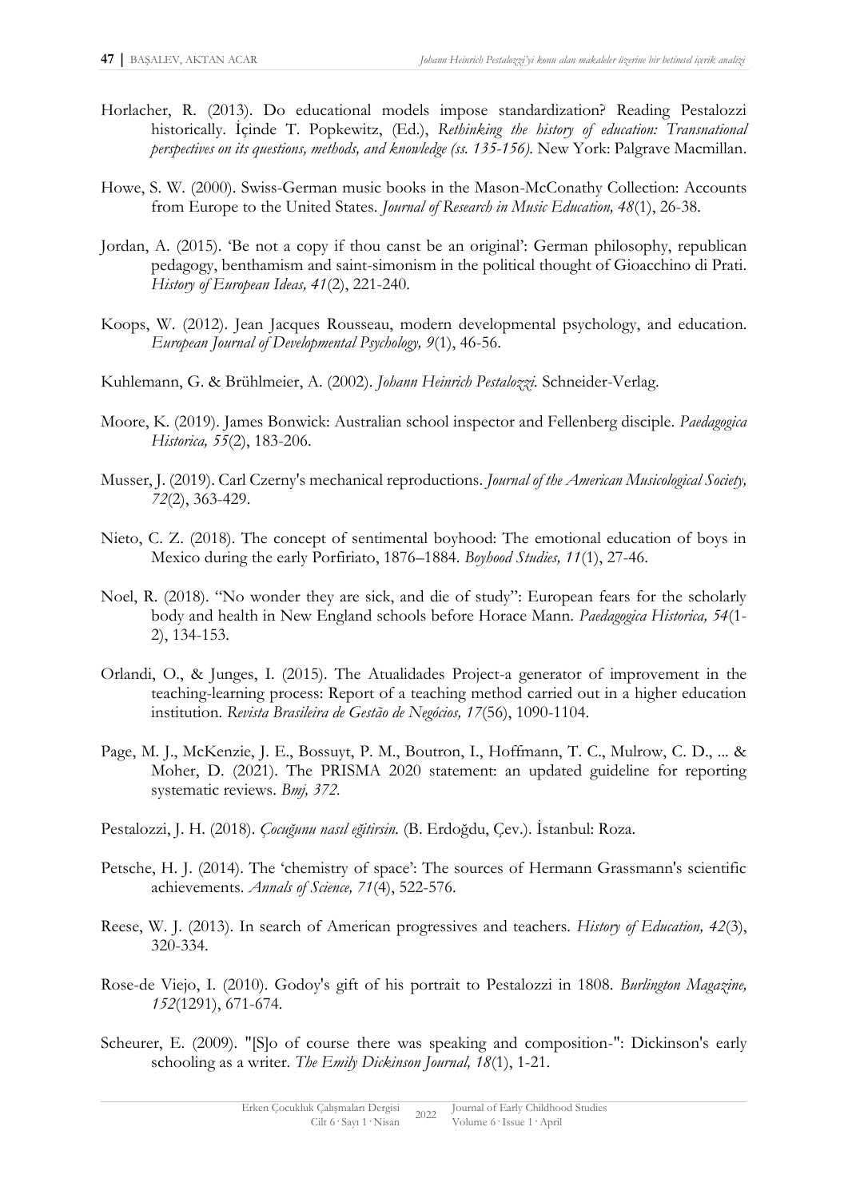- Horlacher, R. (2013). Do educational models impose standardization? Reading Pestalozzi historically. İçinde T. Popkewitz, (Ed.), *Rethinking the history of education: Transnational perspectives on its questions, methods, and knowledge (ss. 135-156).* New York: Palgrave Macmillan.
- Howe, S. W. (2000). Swiss-German music books in the Mason-McConathy Collection: Accounts from Europe to the United States. *Journal of Research in Music Education, 48*(1), 26-38.
- Jordan, A. (2015). 'Be not a copy if thou canst be an original': German philosophy, republican pedagogy, benthamism and saint-simonism in the political thought of Gioacchino di Prati. *History of European Ideas, 41*(2), 221-240.
- Koops, W. (2012). Jean Jacques Rousseau, modern developmental psychology, and education. *European Journal of Developmental Psychology, 9*(1), 46-56.
- Kuhlemann, G. & Brühlmeier, A. (2002). *Johann Heinrich Pestalozzi.* Schneider-Verlag.
- Moore, K. (2019). James Bonwick: Australian school inspector and Fellenberg disciple. *Paedagogica Historica, 55*(2), 183-206.
- Musser, J. (2019). Carl Czerny's mechanical reproductions. *Journal of the American Musicological Society, 72*(2), 363-429.
- Nieto, C. Z. (2018). The concept of sentimental boyhood: The emotional education of boys in Mexico during the early Porfiriato, 1876–1884. *Boyhood Studies, 11*(1), 27-46.
- Noel, R. (2018). "No wonder they are sick, and die of study": European fears for the scholarly body and health in New England schools before Horace Mann. *Paedagogica Historica, 54*(1- 2), 134-153.
- Orlandi, O., & Junges, I. (2015). The Atualidades Project-a generator of improvement in the teaching-learning process: Report of a teaching method carried out in a higher education institution. *Revista Brasileira de Gestão de Negócios, 17*(56), 1090-1104.
- Page, M. J., McKenzie, J. E., Bossuyt, P. M., Boutron, I., Hoffmann, T. C., Mulrow, C. D., ... & Moher, D. (2021). The PRISMA 2020 statement: an updated guideline for reporting systematic reviews. *Bmj, 372.*
- Pestalozzi, J. H. (2018). *Çocuğunu nasıl eğitirsin.* (B. Erdoğdu, Çev.). İstanbul: Roza.
- Petsche, H. J. (2014). The 'chemistry of space': The sources of Hermann Grassmann's scientific achievements. *Annals of Science, 71*(4), 522-576.
- Reese, W. J. (2013). In search of American progressives and teachers. *History of Education, 42*(3), 320-334.
- Rose-de Viejo, I. (2010). Godoy's gift of his portrait to Pestalozzi in 1808. *Burlington Magazine, 152*(1291), 671-674.
- Scheurer, E. (2009). "[S]o of course there was speaking and composition-": Dickinson's early schooling as a writer. *The Emily Dickinson Journal, 18*(1), 1-21.